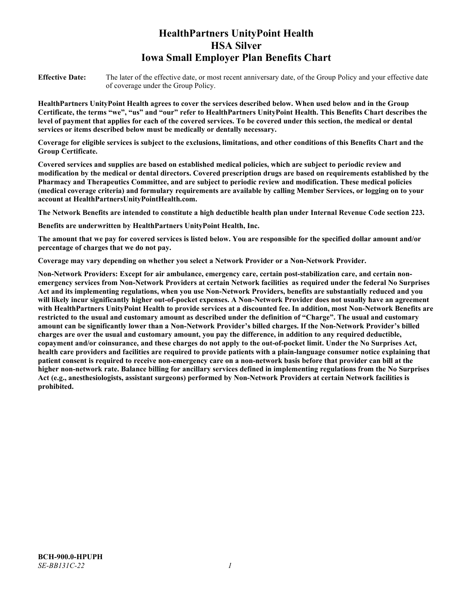# **HealthPartners UnityPoint Health HSA Silver Iowa Small Employer Plan Benefits Chart**

**Effective Date:** The later of the effective date, or most recent anniversary date, of the Group Policy and your effective date of coverage under the Group Policy.

**HealthPartners UnityPoint Health agrees to cover the services described below. When used below and in the Group Certificate, the terms "we", "us" and "our" refer to HealthPartners UnityPoint Health. This Benefits Chart describes the level of payment that applies for each of the covered services. To be covered under this section, the medical or dental services or items described below must be medically or dentally necessary.**

**Coverage for eligible services is subject to the exclusions, limitations, and other conditions of this Benefits Chart and the Group Certificate.** 

**Covered services and supplies are based on established medical policies, which are subject to periodic review and modification by the medical or dental directors. Covered prescription drugs are based on requirements established by the Pharmacy and Therapeutics Committee, and are subject to periodic review and modification. These medical policies (medical coverage criteria) and formulary requirements are available by calling Member Services, or logging on to your account at [HealthPartnersUnityPointHealth.com.](https://www.healthpartnersunitypointhealth.com/)**

**The Network Benefits are intended to constitute a high deductible health plan under Internal Revenue Code section 223.**

**Benefits are underwritten by HealthPartners UnityPoint Health, Inc.**

**The amount that we pay for covered services is listed below. You are responsible for the specified dollar amount and/or percentage of charges that we do not pay.**

**Coverage may vary depending on whether you select a Network Provider or a Non-Network Provider.**

**Non-Network Providers: Except for air ambulance, emergency care, certain post-stabilization care, and certain nonemergency services from Non-Network Providers at certain Network facilities as required under the federal No Surprises Act and its implementing regulations, when you use Non-Network Providers, benefits are substantially reduced and you will likely incur significantly higher out-of-pocket expenses. A Non-Network Provider does not usually have an agreement with HealthPartners UnityPoint Health to provide services at a discounted fee. In addition, most Non-Network Benefits are restricted to the usual and customary amount as described under the definition of "Charge". The usual and customary amount can be significantly lower than a Non-Network Provider's billed charges. If the Non-Network Provider's billed charges are over the usual and customary amount, you pay the difference, in addition to any required deductible, copayment and/or coinsurance, and these charges do not apply to the out-of-pocket limit. Under the No Surprises Act, health care providers and facilities are required to provide patients with a plain-language consumer notice explaining that patient consent is required to receive non-emergency care on a non-network basis before that provider can bill at the higher non-network rate. Balance billing for ancillary services defined in implementing regulations from the No Surprises Act (e.g., anesthesiologists, assistant surgeons) performed by Non-Network Providers at certain Network facilities is prohibited.**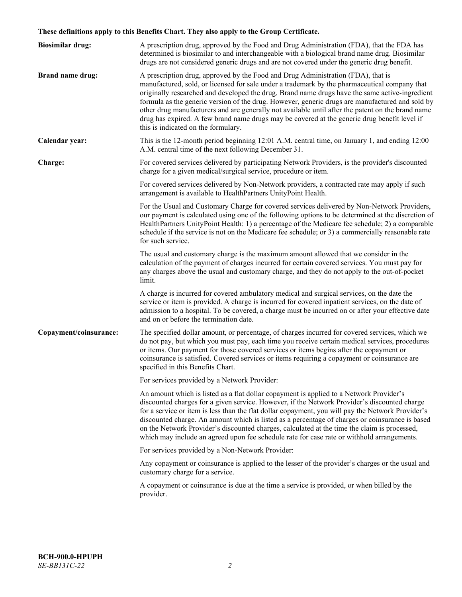# **These definitions apply to this Benefits Chart. They also apply to the Group Certificate.**

| <b>Biosimilar drug:</b> | A prescription drug, approved by the Food and Drug Administration (FDA), that the FDA has<br>determined is biosimilar to and interchangeable with a biological brand name drug. Biosimilar<br>drugs are not considered generic drugs and are not covered under the generic drug benefit.                                                                                                                                                                                                                                                                                                                                           |
|-------------------------|------------------------------------------------------------------------------------------------------------------------------------------------------------------------------------------------------------------------------------------------------------------------------------------------------------------------------------------------------------------------------------------------------------------------------------------------------------------------------------------------------------------------------------------------------------------------------------------------------------------------------------|
| <b>Brand name drug:</b> | A prescription drug, approved by the Food and Drug Administration (FDA), that is<br>manufactured, sold, or licensed for sale under a trademark by the pharmaceutical company that<br>originally researched and developed the drug. Brand name drugs have the same active-ingredient<br>formula as the generic version of the drug. However, generic drugs are manufactured and sold by<br>other drug manufacturers and are generally not available until after the patent on the brand name<br>drug has expired. A few brand name drugs may be covered at the generic drug benefit level if<br>this is indicated on the formulary. |
| Calendar year:          | This is the 12-month period beginning 12:01 A.M. central time, on January 1, and ending 12:00<br>A.M. central time of the next following December 31.                                                                                                                                                                                                                                                                                                                                                                                                                                                                              |
| Charge:                 | For covered services delivered by participating Network Providers, is the provider's discounted<br>charge for a given medical/surgical service, procedure or item.                                                                                                                                                                                                                                                                                                                                                                                                                                                                 |
|                         | For covered services delivered by Non-Network providers, a contracted rate may apply if such<br>arrangement is available to HealthPartners UnityPoint Health.                                                                                                                                                                                                                                                                                                                                                                                                                                                                      |
|                         | For the Usual and Customary Charge for covered services delivered by Non-Network Providers,<br>our payment is calculated using one of the following options to be determined at the discretion of<br>HealthPartners UnityPoint Health: 1) a percentage of the Medicare fee schedule; 2) a comparable<br>schedule if the service is not on the Medicare fee schedule; or 3) a commercially reasonable rate<br>for such service.                                                                                                                                                                                                     |
|                         | The usual and customary charge is the maximum amount allowed that we consider in the<br>calculation of the payment of charges incurred for certain covered services. You must pay for<br>any charges above the usual and customary charge, and they do not apply to the out-of-pocket<br>limit.                                                                                                                                                                                                                                                                                                                                    |
|                         | A charge is incurred for covered ambulatory medical and surgical services, on the date the<br>service or item is provided. A charge is incurred for covered inpatient services, on the date of<br>admission to a hospital. To be covered, a charge must be incurred on or after your effective date<br>and on or before the termination date.                                                                                                                                                                                                                                                                                      |
| Copayment/coinsurance:  | The specified dollar amount, or percentage, of charges incurred for covered services, which we<br>do not pay, but which you must pay, each time you receive certain medical services, procedures<br>or items. Our payment for those covered services or items begins after the copayment or<br>coinsurance is satisfied. Covered services or items requiring a copayment or coinsurance are<br>specified in this Benefits Chart.                                                                                                                                                                                                   |
|                         | For services provided by a Network Provider:                                                                                                                                                                                                                                                                                                                                                                                                                                                                                                                                                                                       |
|                         | An amount which is listed as a flat dollar copayment is applied to a Network Provider's<br>discounted charges for a given service. However, if the Network Provider's discounted charge<br>for a service or item is less than the flat dollar copayment, you will pay the Network Provider's<br>discounted charge. An amount which is listed as a percentage of charges or coinsurance is based<br>on the Network Provider's discounted charges, calculated at the time the claim is processed,<br>which may include an agreed upon fee schedule rate for case rate or withhold arrangements.                                      |
|                         | For services provided by a Non-Network Provider:                                                                                                                                                                                                                                                                                                                                                                                                                                                                                                                                                                                   |
|                         | Any copayment or coinsurance is applied to the lesser of the provider's charges or the usual and<br>customary charge for a service.                                                                                                                                                                                                                                                                                                                                                                                                                                                                                                |
|                         | A copayment or coinsurance is due at the time a service is provided, or when billed by the<br>provider.                                                                                                                                                                                                                                                                                                                                                                                                                                                                                                                            |
|                         |                                                                                                                                                                                                                                                                                                                                                                                                                                                                                                                                                                                                                                    |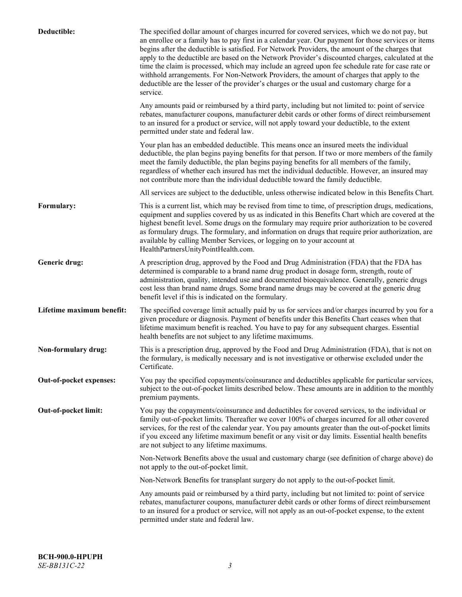| Deductible:               | The specified dollar amount of charges incurred for covered services, which we do not pay, but<br>an enrollee or a family has to pay first in a calendar year. Our payment for those services or items<br>begins after the deductible is satisfied. For Network Providers, the amount of the charges that<br>apply to the deductible are based on the Network Provider's discounted charges, calculated at the<br>time the claim is processed, which may include an agreed upon fee schedule rate for case rate or<br>withhold arrangements. For Non-Network Providers, the amount of charges that apply to the<br>deductible are the lesser of the provider's charges or the usual and customary charge for a<br>service. |
|---------------------------|----------------------------------------------------------------------------------------------------------------------------------------------------------------------------------------------------------------------------------------------------------------------------------------------------------------------------------------------------------------------------------------------------------------------------------------------------------------------------------------------------------------------------------------------------------------------------------------------------------------------------------------------------------------------------------------------------------------------------|
|                           | Any amounts paid or reimbursed by a third party, including but not limited to: point of service<br>rebates, manufacturer coupons, manufacturer debit cards or other forms of direct reimbursement<br>to an insured for a product or service, will not apply toward your deductible, to the extent<br>permitted under state and federal law.                                                                                                                                                                                                                                                                                                                                                                                |
|                           | Your plan has an embedded deductible. This means once an insured meets the individual<br>deductible, the plan begins paying benefits for that person. If two or more members of the family<br>meet the family deductible, the plan begins paying benefits for all members of the family,<br>regardless of whether each insured has met the individual deductible. However, an insured may<br>not contribute more than the individual deductible toward the family deductible.                                                                                                                                                                                                                                              |
|                           | All services are subject to the deductible, unless otherwise indicated below in this Benefits Chart.                                                                                                                                                                                                                                                                                                                                                                                                                                                                                                                                                                                                                       |
| Formulary:                | This is a current list, which may be revised from time to time, of prescription drugs, medications,<br>equipment and supplies covered by us as indicated in this Benefits Chart which are covered at the<br>highest benefit level. Some drugs on the formulary may require prior authorization to be covered<br>as formulary drugs. The formulary, and information on drugs that require prior authorization, are<br>available by calling Member Services, or logging on to your account at<br>HealthPartnersUnityPointHealth.com.                                                                                                                                                                                         |
| Generic drug:             | A prescription drug, approved by the Food and Drug Administration (FDA) that the FDA has<br>determined is comparable to a brand name drug product in dosage form, strength, route of<br>administration, quality, intended use and documented bioequivalence. Generally, generic drugs<br>cost less than brand name drugs. Some brand name drugs may be covered at the generic drug<br>benefit level if this is indicated on the formulary.                                                                                                                                                                                                                                                                                 |
| Lifetime maximum benefit: | The specified coverage limit actually paid by us for services and/or charges incurred by you for a<br>given procedure or diagnosis. Payment of benefits under this Benefits Chart ceases when that<br>lifetime maximum benefit is reached. You have to pay for any subsequent charges. Essential<br>health benefits are not subject to any lifetime maximums.                                                                                                                                                                                                                                                                                                                                                              |
| Non-formulary drug:       | This is a prescription drug, approved by the Food and Drug Administration (FDA), that is not on<br>the formulary, is medically necessary and is not investigative or otherwise excluded under the<br>Certificate.                                                                                                                                                                                                                                                                                                                                                                                                                                                                                                          |
| Out-of-pocket expenses:   | You pay the specified copayments/coinsurance and deductibles applicable for particular services,<br>subject to the out-of-pocket limits described below. These amounts are in addition to the monthly<br>premium payments.                                                                                                                                                                                                                                                                                                                                                                                                                                                                                                 |
| Out-of-pocket limit:      | You pay the copayments/coinsurance and deductibles for covered services, to the individual or<br>family out-of-pocket limits. Thereafter we cover 100% of charges incurred for all other covered<br>services, for the rest of the calendar year. You pay amounts greater than the out-of-pocket limits<br>if you exceed any lifetime maximum benefit or any visit or day limits. Essential health benefits<br>are not subject to any lifetime maximums.                                                                                                                                                                                                                                                                    |
|                           | Non-Network Benefits above the usual and customary charge (see definition of charge above) do<br>not apply to the out-of-pocket limit.                                                                                                                                                                                                                                                                                                                                                                                                                                                                                                                                                                                     |
|                           | Non-Network Benefits for transplant surgery do not apply to the out-of-pocket limit.                                                                                                                                                                                                                                                                                                                                                                                                                                                                                                                                                                                                                                       |
|                           | Any amounts paid or reimbursed by a third party, including but not limited to: point of service<br>rebates, manufacturer coupons, manufacturer debit cards or other forms of direct reimbursement<br>to an insured for a product or service, will not apply as an out-of-pocket expense, to the extent<br>permitted under state and federal law.                                                                                                                                                                                                                                                                                                                                                                           |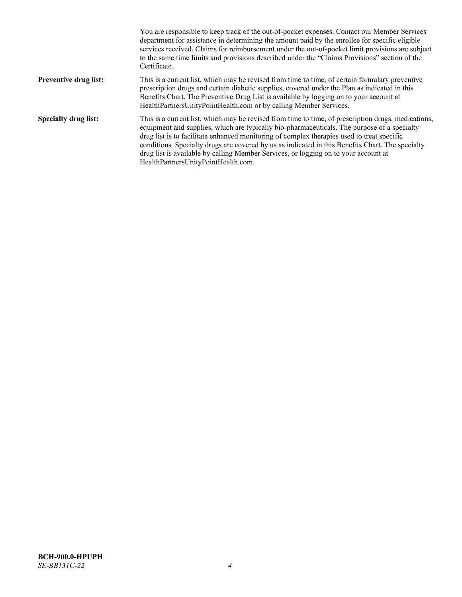|                              | You are responsible to keep track of the out-of-pocket expenses. Contact our Member Services<br>department for assistance in determining the amount paid by the enrollee for specific eligible<br>services received. Claims for reimbursement under the out-of-pocket limit provisions are subject<br>to the same time limits and provisions described under the "Claims Provisions" section of the<br>Certificate.                                                                                                                |
|------------------------------|------------------------------------------------------------------------------------------------------------------------------------------------------------------------------------------------------------------------------------------------------------------------------------------------------------------------------------------------------------------------------------------------------------------------------------------------------------------------------------------------------------------------------------|
| <b>Preventive drug list:</b> | This is a current list, which may be revised from time to time, of certain formulary preventive<br>prescription drugs and certain diabetic supplies, covered under the Plan as indicated in this<br>Benefits Chart. The Preventive Drug List is available by logging on to your account at<br>HealthPartnersUnityPointHealth.com or by calling Member Services.                                                                                                                                                                    |
| <b>Specialty drug list:</b>  | This is a current list, which may be revised from time to time, of prescription drugs, medications,<br>equipment and supplies, which are typically bio-pharmaceuticals. The purpose of a specialty<br>drug list is to facilitate enhanced monitoring of complex therapies used to treat specific<br>conditions. Specialty drugs are covered by us as indicated in this Benefits Chart. The specialty<br>drug list is available by calling Member Services, or logging on to your account at<br>HealthPartnersUnityPointHealth.com. |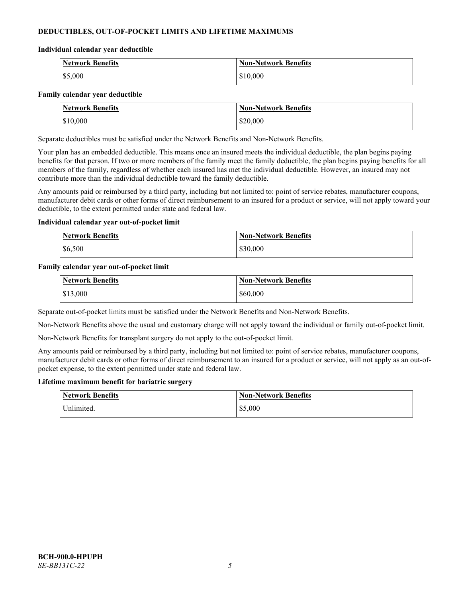# **DEDUCTIBLES, OUT-OF-POCKET LIMITS AND LIFETIME MAXIMUMS**

#### **Individual calendar year deductible**

| Network Benefits | <b>Non-Network Benefits</b> |
|------------------|-----------------------------|
| \$5,000          | \$10,000                    |

#### **Family calendar year deductible**

| <b>Network Benefits</b> | <b>Non-Network Benefits</b> |
|-------------------------|-----------------------------|
| \$10,000                | \$20,000                    |

Separate deductibles must be satisfied under the Network Benefits and Non-Network Benefits.

Your plan has an embedded deductible. This means once an insured meets the individual deductible, the plan begins paying benefits for that person. If two or more members of the family meet the family deductible, the plan begins paying benefits for all members of the family, regardless of whether each insured has met the individual deductible. However, an insured may not contribute more than the individual deductible toward the family deductible.

Any amounts paid or reimbursed by a third party, including but not limited to: point of service rebates, manufacturer coupons, manufacturer debit cards or other forms of direct reimbursement to an insured for a product or service, will not apply toward your deductible, to the extent permitted under state and federal law.

#### **Individual calendar year out-of-pocket limit**

| <b>Network Benefits</b> | <b>Non-Network Benefits</b> |
|-------------------------|-----------------------------|
| \$6,500                 | \$30,000                    |

#### **Family calendar year out-of-pocket limit**

| <b>Network Benefits</b> | <b>Non-Network Benefits</b> |
|-------------------------|-----------------------------|
| \$13,000                | \$60,000                    |

Separate out-of-pocket limits must be satisfied under the Network Benefits and Non-Network Benefits.

Non-Network Benefits above the usual and customary charge will not apply toward the individual or family out-of-pocket limit.

Non-Network Benefits for transplant surgery do not apply to the out-of-pocket limit.

Any amounts paid or reimbursed by a third party, including but not limited to: point of service rebates, manufacturer coupons, manufacturer debit cards or other forms of direct reimbursement to an insured for a product or service, will not apply as an out-ofpocket expense, to the extent permitted under state and federal law.

#### **Lifetime maximum benefit for bariatric surgery**

| <b>Network Benefits</b> | <b>Non-Network Benefits</b> |
|-------------------------|-----------------------------|
| <sup>I</sup> Inlimited. | \$5,000                     |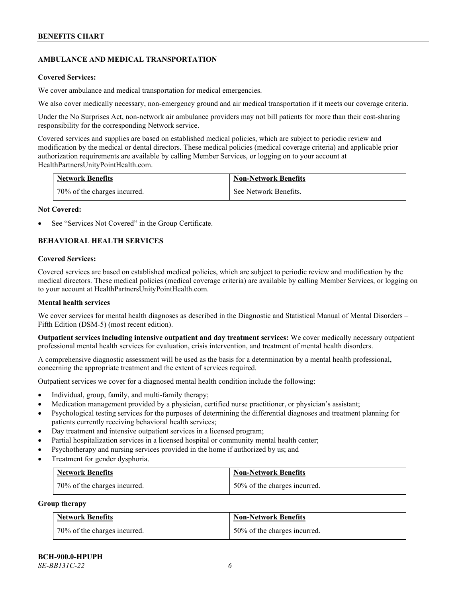# **AMBULANCE AND MEDICAL TRANSPORTATION**

#### **Covered Services:**

We cover ambulance and medical transportation for medical emergencies.

We also cover medically necessary, non-emergency ground and air medical transportation if it meets our coverage criteria.

Under the No Surprises Act, non-network air ambulance providers may not bill patients for more than their cost-sharing responsibility for the corresponding Network service.

Covered services and supplies are based on established medical policies, which are subject to periodic review and modification by the medical or dental directors. These medical policies (medical coverage criteria) and applicable prior authorization requirements are available by calling Member Services, or logging on to your account at [HealthPartnersUnityPointHealth.com.](https://www.healthpartnersunitypointhealth.com/)

| <b>Network Benefits</b>      | <b>Non-Network Benefits</b> |
|------------------------------|-----------------------------|
| 70% of the charges incurred. | See Network Benefits.       |

#### **Not Covered:**

See "Services Not Covered" in the Group Certificate.

# **BEHAVIORAL HEALTH SERVICES**

#### **Covered Services:**

Covered services are based on established medical policies, which are subject to periodic review and modification by the medical directors. These medical policies (medical coverage criteria) are available by calling Member Services, or logging on to your account at [HealthPartnersUnityPointHealth.com.](https://www.healthpartnersunitypointhealth.com/)

### **Mental health services**

We cover services for mental health diagnoses as described in the Diagnostic and Statistical Manual of Mental Disorders – Fifth Edition (DSM-5) (most recent edition).

**Outpatient services including intensive outpatient and day treatment services:** We cover medically necessary outpatient professional mental health services for evaluation, crisis intervention, and treatment of mental health disorders.

A comprehensive diagnostic assessment will be used as the basis for a determination by a mental health professional, concerning the appropriate treatment and the extent of services required.

Outpatient services we cover for a diagnosed mental health condition include the following:

- Individual, group, family, and multi-family therapy;
- Medication management provided by a physician, certified nurse practitioner, or physician's assistant;
- Psychological testing services for the purposes of determining the differential diagnoses and treatment planning for patients currently receiving behavioral health services;
- Day treatment and intensive outpatient services in a licensed program;
- Partial hospitalization services in a licensed hospital or community mental health center;
- Psychotherapy and nursing services provided in the home if authorized by us; and
- Treatment for gender dysphoria.

| <b>Network Benefits</b>      | <b>Non-Network Benefits</b>  |
|------------------------------|------------------------------|
| 70% of the charges incurred. | 50% of the charges incurred. |

#### **Group therapy**

| <b>Network Benefits</b>        | <b>Non-Network Benefits</b>  |
|--------------------------------|------------------------------|
| 1 70% of the charges incurred. | 50% of the charges incurred. |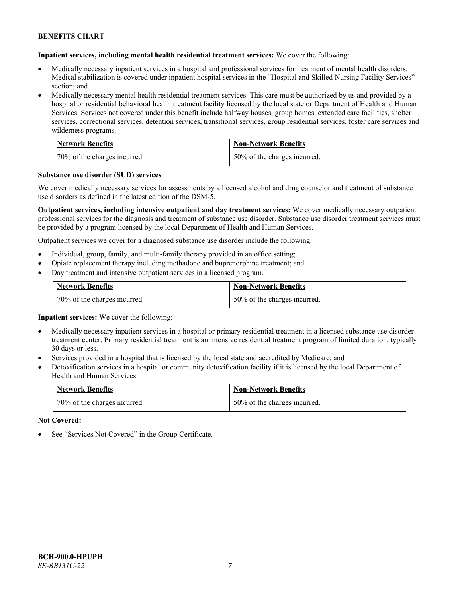**Inpatient services, including mental health residential treatment services:** We cover the following:

- Medically necessary inpatient services in a hospital and professional services for treatment of mental health disorders. Medical stabilization is covered under inpatient hospital services in the "Hospital and Skilled Nursing Facility Services" section; and
- Medically necessary mental health residential treatment services. This care must be authorized by us and provided by a hospital or residential behavioral health treatment facility licensed by the local state or Department of Health and Human Services. Services not covered under this benefit include halfway houses, group homes, extended care facilities, shelter services, correctional services, detention services, transitional services, group residential services, foster care services and wilderness programs.

| <b>Network Benefits</b>      | <b>Non-Network Benefits</b>  |
|------------------------------|------------------------------|
| 70% of the charges incurred. | 50% of the charges incurred. |

#### **Substance use disorder (SUD) services**

We cover medically necessary services for assessments by a licensed alcohol and drug counselor and treatment of substance use disorders as defined in the latest edition of the DSM-5.

**Outpatient services, including intensive outpatient and day treatment services:** We cover medically necessary outpatient professional services for the diagnosis and treatment of substance use disorder. Substance use disorder treatment services must be provided by a program licensed by the local Department of Health and Human Services.

Outpatient services we cover for a diagnosed substance use disorder include the following:

- Individual, group, family, and multi-family therapy provided in an office setting;
- Opiate replacement therapy including methadone and buprenorphine treatment; and
- Day treatment and intensive outpatient services in a licensed program.

| <b>Network Benefits</b>      | <b>Non-Network Benefits</b>  |
|------------------------------|------------------------------|
| 70% of the charges incurred. | 50% of the charges incurred. |

**Inpatient services:** We cover the following:

- Medically necessary inpatient services in a hospital or primary residential treatment in a licensed substance use disorder treatment center. Primary residential treatment is an intensive residential treatment program of limited duration, typically 30 days or less.
- Services provided in a hospital that is licensed by the local state and accredited by Medicare; and
- Detoxification services in a hospital or community detoxification facility if it is licensed by the local Department of Health and Human Services.

| <b>Network Benefits</b>      | <b>Non-Network Benefits</b>  |
|------------------------------|------------------------------|
| 70% of the charges incurred. | 50% of the charges incurred. |

**Not Covered:**

See "Services Not Covered" in the Group Certificate.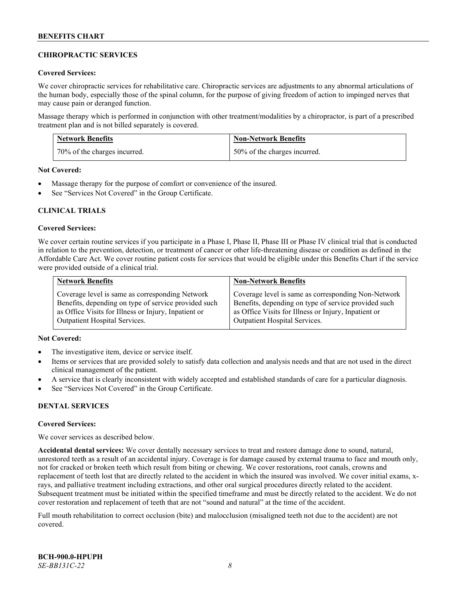# **CHIROPRACTIC SERVICES**

### **Covered Services:**

We cover chiropractic services for rehabilitative care. Chiropractic services are adjustments to any abnormal articulations of the human body, especially those of the spinal column, for the purpose of giving freedom of action to impinged nerves that may cause pain or deranged function.

Massage therapy which is performed in conjunction with other treatment/modalities by a chiropractor, is part of a prescribed treatment plan and is not billed separately is covered.

| <b>Network Benefits</b>      | <b>Non-Network Benefits</b>  |
|------------------------------|------------------------------|
| 70% of the charges incurred. | 50% of the charges incurred. |

**Not Covered:**

- Massage therapy for the purpose of comfort or convenience of the insured.
- See "Services Not Covered" in the Group Certificate.

# **CLINICAL TRIALS**

#### **Covered Services:**

We cover certain routine services if you participate in a Phase I, Phase II, Phase III or Phase IV clinical trial that is conducted in relation to the prevention, detection, or treatment of cancer or other life-threatening disease or condition as defined in the Affordable Care Act. We cover routine patient costs for services that would be eligible under this Benefits Chart if the service were provided outside of a clinical trial.

| <b>Network Benefits</b>                              | <b>Non-Network Benefits</b>                          |
|------------------------------------------------------|------------------------------------------------------|
| Coverage level is same as corresponding Network      | Coverage level is same as corresponding Non-Network  |
| Benefits, depending on type of service provided such | Benefits, depending on type of service provided such |
| as Office Visits for Illness or Injury, Inpatient or | as Office Visits for Illness or Injury, Inpatient or |
| <b>Outpatient Hospital Services.</b>                 | <b>Outpatient Hospital Services.</b>                 |

# **Not Covered:**

- The investigative item, device or service itself.
- Items or services that are provided solely to satisfy data collection and analysis needs and that are not used in the direct clinical management of the patient.
- A service that is clearly inconsistent with widely accepted and established standards of care for a particular diagnosis.
- See "Services Not Covered" in the Group Certificate.

# **DENTAL SERVICES**

#### **Covered Services:**

We cover services as described below.

**Accidental dental services:** We cover dentally necessary services to treat and restore damage done to sound, natural, unrestored teeth as a result of an accidental injury. Coverage is for damage caused by external trauma to face and mouth only, not for cracked or broken teeth which result from biting or chewing. We cover restorations, root canals, crowns and replacement of teeth lost that are directly related to the accident in which the insured was involved. We cover initial exams, xrays, and palliative treatment including extractions, and other oral surgical procedures directly related to the accident. Subsequent treatment must be initiated within the specified timeframe and must be directly related to the accident. We do not cover restoration and replacement of teeth that are not "sound and natural" at the time of the accident.

Full mouth rehabilitation to correct occlusion (bite) and malocclusion (misaligned teeth not due to the accident) are not covered.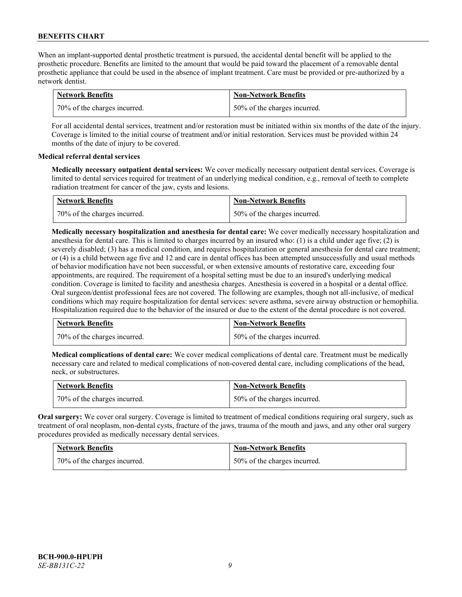When an implant-supported dental prosthetic treatment is pursued, the accidental dental benefit will be applied to the prosthetic procedure. Benefits are limited to the amount that would be paid toward the placement of a removable dental prosthetic appliance that could be used in the absence of implant treatment. Care must be provided or pre-authorized by a network dentist.

| <b>Network Benefits</b>      | <b>Non-Network Benefits</b>  |
|------------------------------|------------------------------|
| 70% of the charges incurred. | 50% of the charges incurred. |

For all accidental dental services, treatment and/or restoration must be initiated within six months of the date of the injury. Coverage is limited to the initial course of treatment and/or initial restoration. Services must be provided within 24 months of the date of injury to be covered.

# **Medical referral dental services**

**Medically necessary outpatient dental services:** We cover medically necessary outpatient dental services. Coverage is limited to dental services required for treatment of an underlying medical condition, e.g., removal of teeth to complete radiation treatment for cancer of the jaw, cysts and lesions.

| <b>Network Benefits</b>      | <b>Non-Network Benefits</b>  |
|------------------------------|------------------------------|
| 70% of the charges incurred. | 50% of the charges incurred. |

**Medically necessary hospitalization and anesthesia for dental care:** We cover medically necessary hospitalization and anesthesia for dental care. This is limited to charges incurred by an insured who: (1) is a child under age five; (2) is severely disabled; (3) has a medical condition, and requires hospitalization or general anesthesia for dental care treatment; or (4) is a child between age five and 12 and care in dental offices has been attempted unsuccessfully and usual methods of behavior modification have not been successful, or when extensive amounts of restorative care, exceeding four appointments, are required. The requirement of a hospital setting must be due to an insured's underlying medical condition. Coverage is limited to facility and anesthesia charges. Anesthesia is covered in a hospital or a dental office. Oral surgeon/dentist professional fees are not covered. The following are examples, though not all-inclusive, of medical conditions which may require hospitalization for dental services: severe asthma, severe airway obstruction or hemophilia. Hospitalization required due to the behavior of the insured or due to the extent of the dental procedure is not covered.

| <b>Network Benefits</b>      | <b>Non-Network Benefits</b>  |
|------------------------------|------------------------------|
| 70% of the charges incurred. | 50% of the charges incurred. |

**Medical complications of dental care:** We cover medical complications of dental care. Treatment must be medically necessary care and related to medical complications of non-covered dental care, including complications of the head, neck, or substructures.

| <b>Network Benefits</b>        | <b>Non-Network Benefits</b>  |
|--------------------------------|------------------------------|
| 1 70% of the charges incurred. | 50% of the charges incurred. |

**Oral surgery:** We cover oral surgery. Coverage is limited to treatment of medical conditions requiring oral surgery, such as treatment of oral neoplasm, non-dental cysts, fracture of the jaws, trauma of the mouth and jaws, and any other oral surgery procedures provided as medically necessary dental services.

| <b>Network Benefits</b>      | <b>Non-Network Benefits</b>  |
|------------------------------|------------------------------|
| 70% of the charges incurred. | 50% of the charges incurred. |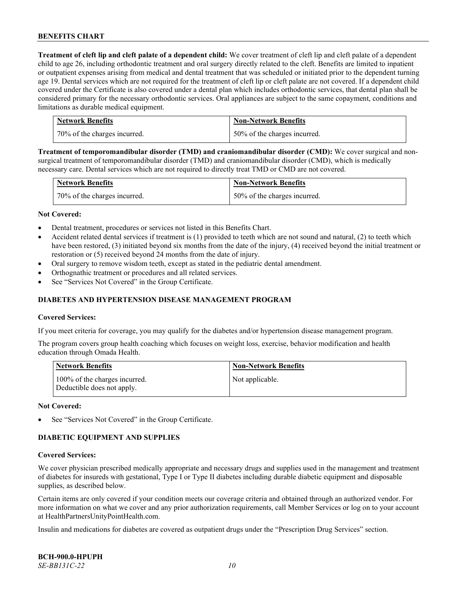**Treatment of cleft lip and cleft palate of a dependent child:** We cover treatment of cleft lip and cleft palate of a dependent child to age 26, including orthodontic treatment and oral surgery directly related to the cleft. Benefits are limited to inpatient or outpatient expenses arising from medical and dental treatment that was scheduled or initiated prior to the dependent turning age 19. Dental services which are not required for the treatment of cleft lip or cleft palate are not covered. If a dependent child covered under the Certificate is also covered under a dental plan which includes orthodontic services, that dental plan shall be considered primary for the necessary orthodontic services. Oral appliances are subject to the same copayment, conditions and limitations as durable medical equipment.

| <b>Network Benefits</b>      | <b>Non-Network Benefits</b>  |
|------------------------------|------------------------------|
| 70% of the charges incurred. | 50% of the charges incurred. |

**Treatment of temporomandibular disorder (TMD) and craniomandibular disorder (CMD):** We cover surgical and nonsurgical treatment of temporomandibular disorder (TMD) and craniomandibular disorder (CMD), which is medically necessary care. Dental services which are not required to directly treat TMD or CMD are not covered.

| <b>Network Benefits</b>      | <b>Non-Network Benefits</b>  |
|------------------------------|------------------------------|
| 70% of the charges incurred. | 50% of the charges incurred. |

#### **Not Covered:**

- Dental treatment, procedures or services not listed in this Benefits Chart.
- Accident related dental services if treatment is (1) provided to teeth which are not sound and natural, (2) to teeth which have been restored, (3) initiated beyond six months from the date of the injury, (4) received beyond the initial treatment or restoration or (5) received beyond 24 months from the date of injury.
- Oral surgery to remove wisdom teeth, except as stated in the pediatric dental amendment.
- Orthognathic treatment or procedures and all related services.
- See "Services Not Covered" in the Group Certificate.

### **DIABETES AND HYPERTENSION DISEASE MANAGEMENT PROGRAM**

#### **Covered Services:**

If you meet criteria for coverage, you may qualify for the diabetes and/or hypertension disease management program.

The program covers group health coaching which focuses on weight loss, exercise, behavior modification and health education through Omada Health.

| <b>Network Benefits</b>                                     | <b>Non-Network Benefits</b> |
|-------------------------------------------------------------|-----------------------------|
| 100% of the charges incurred.<br>Deductible does not apply. | Not applicable.             |

#### **Not Covered:**

See "Services Not Covered" in the Group Certificate.

# **DIABETIC EQUIPMENT AND SUPPLIES**

#### **Covered Services:**

We cover physician prescribed medically appropriate and necessary drugs and supplies used in the management and treatment of diabetes for insureds with gestational, Type I or Type II diabetes including durable diabetic equipment and disposable supplies, as described below.

Certain items are only covered if your condition meets our coverage criteria and obtained through an authorized vendor. For more information on what we cover and any prior authorization requirements, call Member Services or log on to your account at [HealthPartnersUnityPointHealth.com.](https://www.healthpartnersunitypointhealth.com/)

Insulin and medications for diabetes are covered as outpatient drugs under the "Prescription Drug Services" section.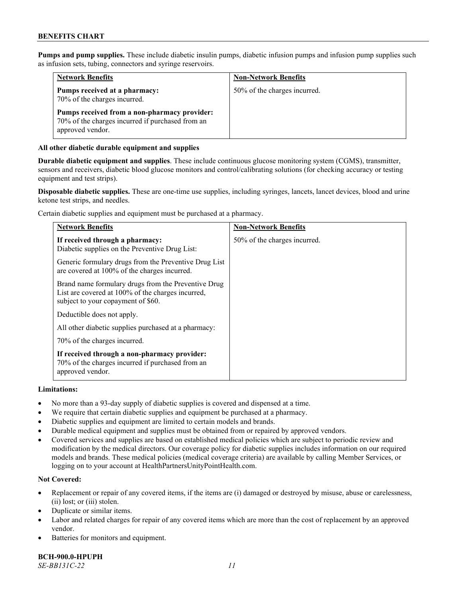**Pumps and pump supplies.** These include diabetic insulin pumps, diabetic infusion pumps and infusion pump supplies such as infusion sets, tubing, connectors and syringe reservoirs.

| <b>Network Benefits</b>                                                                                              | <b>Non-Network Benefits</b>  |
|----------------------------------------------------------------------------------------------------------------------|------------------------------|
| Pumps received at a pharmacy:<br>70% of the charges incurred.                                                        | 50% of the charges incurred. |
| Pumps received from a non-pharmacy provider:<br>70% of the charges incurred if purchased from an<br>approved vendor. |                              |

### **All other diabetic durable equipment and supplies**

**Durable diabetic equipment and supplies**. These include continuous glucose monitoring system (CGMS), transmitter, sensors and receivers, diabetic blood glucose monitors and control/calibrating solutions (for checking accuracy or testing equipment and test strips).

**Disposable diabetic supplies.** These are one-time use supplies, including syringes, lancets, lancet devices, blood and urine ketone test strips, and needles.

Certain diabetic supplies and equipment must be purchased at a pharmacy.

| <b>Network Benefits</b>                                                                                                                        | <b>Non-Network Benefits</b>  |
|------------------------------------------------------------------------------------------------------------------------------------------------|------------------------------|
| If received through a pharmacy:<br>Diabetic supplies on the Preventive Drug List:                                                              | 50% of the charges incurred. |
| Generic formulary drugs from the Preventive Drug List<br>are covered at 100% of the charges incurred.                                          |                              |
| Brand name formulary drugs from the Preventive Drug<br>List are covered at 100% of the charges incurred,<br>subject to your copayment of \$60. |                              |
| Deductible does not apply.                                                                                                                     |                              |
| All other diabetic supplies purchased at a pharmacy:                                                                                           |                              |
| 70% of the charges incurred.                                                                                                                   |                              |
| If received through a non-pharmacy provider:<br>70% of the charges incurred if purchased from an<br>approved vendor.                           |                              |

### **Limitations:**

- No more than a 93-day supply of diabetic supplies is covered and dispensed at a time.
- We require that certain diabetic supplies and equipment be purchased at a pharmacy.
- Diabetic supplies and equipment are limited to certain models and brands.
- Durable medical equipment and supplies must be obtained from or repaired by approved vendors.
- Covered services and supplies are based on established medical policies which are subject to periodic review and modification by the medical directors. Our coverage policy for diabetic supplies includes information on our required models and brands. These medical policies (medical coverage criteria) are available by calling Member Services, or logging on to your account a[t HealthPartnersUnityPointHealth.com.](https://www.healthpartnersunitypointhealth.com/)

# **Not Covered:**

- Replacement or repair of any covered items, if the items are (i) damaged or destroyed by misuse, abuse or carelessness, (ii) lost; or (iii) stolen.
- Duplicate or similar items.
- Labor and related charges for repair of any covered items which are more than the cost of replacement by an approved vendor.
- Batteries for monitors and equipment.

**BCH-900.0-HPUPH** *SE-BB131C-22 11*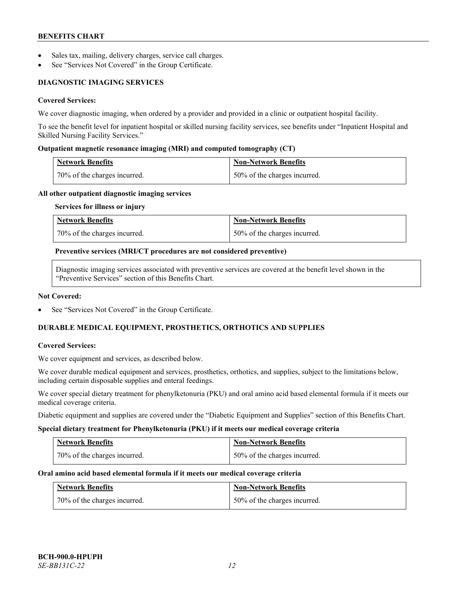- Sales tax, mailing, delivery charges, service call charges.
- See "Services Not Covered" in the Group Certificate.

# **DIAGNOSTIC IMAGING SERVICES**

# **Covered Services:**

We cover diagnostic imaging, when ordered by a provider and provided in a clinic or outpatient hospital facility.

To see the benefit level for inpatient hospital or skilled nursing facility services, see benefits under "Inpatient Hospital and Skilled Nursing Facility Services."

#### **Outpatient magnetic resonance imaging (MRI) and computed tomography (CT)**

| <b>Network Benefits</b>        | <b>Non-Network Benefits</b>  |
|--------------------------------|------------------------------|
| 1 70% of the charges incurred. | 50% of the charges incurred. |

#### **All other outpatient diagnostic imaging services**

#### **Services for illness or injury**

| <b>Network Benefits</b>      | <b>Non-Network Benefits</b>  |
|------------------------------|------------------------------|
| 70% of the charges incurred. | 50% of the charges incurred. |

#### **Preventive services (MRI/CT procedures are not considered preventive)**

Diagnostic imaging services associated with preventive services are covered at the benefit level shown in the "Preventive Services" section of this Benefits Chart.

#### **Not Covered:**

See "Services Not Covered" in the Group Certificate.

# **DURABLE MEDICAL EQUIPMENT, PROSTHETICS, ORTHOTICS AND SUPPLIES**

#### **Covered Services:**

We cover equipment and services, as described below.

We cover durable medical equipment and services, prosthetics, orthotics, and supplies, subject to the limitations below, including certain disposable supplies and enteral feedings.

We cover special dietary treatment for phenylketonuria (PKU) and oral amino acid based elemental formula if it meets our medical coverage criteria.

Diabetic equipment and supplies are covered under the "Diabetic Equipment and Supplies" section of this Benefits Chart.

#### **Special dietary treatment for Phenylketonuria (PKU) if it meets our medical coverage criteria**

| <b>Network Benefits</b>      | <b>Non-Network Benefits</b>  |
|------------------------------|------------------------------|
| 70% of the charges incurred. | 50% of the charges incurred. |

#### **Oral amino acid based elemental formula if it meets our medical coverage criteria**

| <b>Network Benefits</b>        | <b>Non-Network Benefits</b>  |
|--------------------------------|------------------------------|
| 1 70% of the charges incurred. | 50% of the charges incurred. |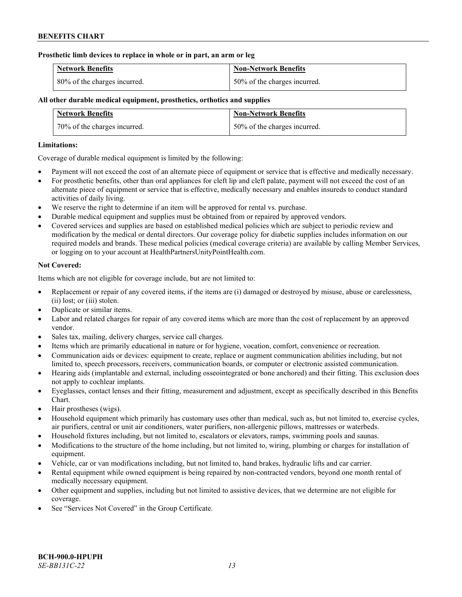### **Prosthetic limb devices to replace in whole or in part, an arm or leg**

| <b>Network Benefits</b>      | <b>Non-Network Benefits</b>  |
|------------------------------|------------------------------|
| 80% of the charges incurred. | 50% of the charges incurred. |

# **All other durable medical equipment, prosthetics, orthotics and supplies**

| <b>Network Benefits</b>      | <b>Non-Network Benefits</b>  |
|------------------------------|------------------------------|
| 70% of the charges incurred. | 50% of the charges incurred. |

### **Limitations:**

Coverage of durable medical equipment is limited by the following:

- Payment will not exceed the cost of an alternate piece of equipment or service that is effective and medically necessary.
- For prosthetic benefits, other than oral appliances for cleft lip and cleft palate, payment will not exceed the cost of an alternate piece of equipment or service that is effective, medically necessary and enables insureds to conduct standard activities of daily living.
- We reserve the right to determine if an item will be approved for rental vs. purchase.
- Durable medical equipment and supplies must be obtained from or repaired by approved vendors.
- Covered services and supplies are based on established medical policies which are subject to periodic review and modification by the medical or dental directors. Our coverage policy for diabetic supplies includes information on our required models and brands. These medical policies (medical coverage criteria) are available by calling Member Services, or logging on to your account at [HealthPartnersUnityPointHealth.com.](https://www.healthpartnersunitypointhealth.com/)

# **Not Covered:**

Items which are not eligible for coverage include, but are not limited to:

- Replacement or repair of any covered items, if the items are (i) damaged or destroyed by misuse, abuse or carelessness, (ii) lost; or (iii) stolen.
- Duplicate or similar items.
- Labor and related charges for repair of any covered items which are more than the cost of replacement by an approved vendor.
- Sales tax, mailing, delivery charges, service call charges.
- Items which are primarily educational in nature or for hygiene, vocation, comfort, convenience or recreation.
- Communication aids or devices: equipment to create, replace or augment communication abilities including, but not limited to, speech processors, receivers, communication boards, or computer or electronic assisted communication.
- Hearing aids (implantable and external, including osseointegrated or bone anchored) and their fitting. This exclusion does not apply to cochlear implants.
- Eyeglasses, contact lenses and their fitting, measurement and adjustment, except as specifically described in this Benefits Chart.
- Hair prostheses (wigs).
- Household equipment which primarily has customary uses other than medical, such as, but not limited to, exercise cycles, air purifiers, central or unit air conditioners, water purifiers, non-allergenic pillows, mattresses or waterbeds.
- Household fixtures including, but not limited to, escalators or elevators, ramps, swimming pools and saunas.
- Modifications to the structure of the home including, but not limited to, wiring, plumbing or charges for installation of equipment.
- Vehicle, car or van modifications including, but not limited to, hand brakes, hydraulic lifts and car carrier.
- Rental equipment while owned equipment is being repaired by non-contracted vendors, beyond one month rental of medically necessary equipment.
- Other equipment and supplies, including but not limited to assistive devices, that we determine are not eligible for coverage.
- See "Services Not Covered" in the Group Certificate.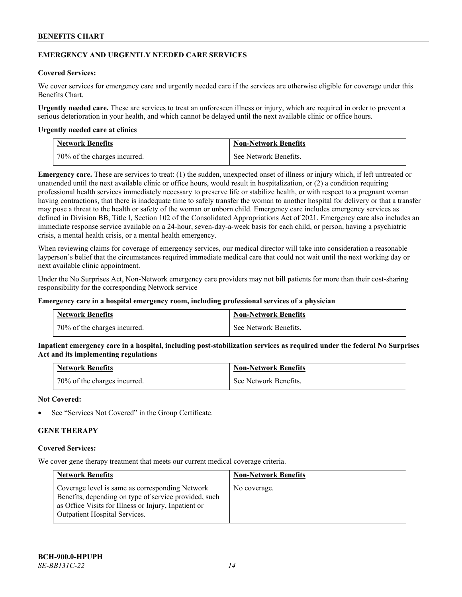### **EMERGENCY AND URGENTLY NEEDED CARE SERVICES**

# **Covered Services:**

We cover services for emergency care and urgently needed care if the services are otherwise eligible for coverage under this Benefits Chart.

**Urgently needed care.** These are services to treat an unforeseen illness or injury, which are required in order to prevent a serious deterioration in your health, and which cannot be delayed until the next available clinic or office hours.

#### **Urgently needed care at clinics**

| <b>Network Benefits</b>        | <b>Non-Network Benefits</b> |
|--------------------------------|-----------------------------|
| 1 70% of the charges incurred. | See Network Benefits.       |

**Emergency care.** These are services to treat: (1) the sudden, unexpected onset of illness or injury which, if left untreated or unattended until the next available clinic or office hours, would result in hospitalization, or (2) a condition requiring professional health services immediately necessary to preserve life or stabilize health, or with respect to a pregnant woman having contractions, that there is inadequate time to safely transfer the woman to another hospital for delivery or that a transfer may pose a threat to the health or safety of the woman or unborn child. Emergency care includes emergency services as defined in Division BB, Title I, Section 102 of the Consolidated Appropriations Act of 2021. Emergency care also includes an immediate response service available on a 24-hour, seven-day-a-week basis for each child, or person, having a psychiatric crisis, a mental health crisis, or a mental health emergency.

When reviewing claims for coverage of emergency services, our medical director will take into consideration a reasonable layperson's belief that the circumstances required immediate medical care that could not wait until the next working day or next available clinic appointment.

Under the No Surprises Act, Non-Network emergency care providers may not bill patients for more than their cost-sharing responsibility for the corresponding Network service

#### **Emergency care in a hospital emergency room, including professional services of a physician**

| <b>Network Benefits</b>      | <b>Non-Network Benefits</b> |
|------------------------------|-----------------------------|
| 70% of the charges incurred. | See Network Benefits.       |

**Inpatient emergency care in a hospital, including post-stabilization services as required under the federal No Surprises Act and its implementing regulations**

| <b>Network Benefits</b>      | <b>Non-Network Benefits</b> |
|------------------------------|-----------------------------|
| 70% of the charges incurred. | See Network Benefits.       |

### **Not Covered:**

See "Services Not Covered" in the Group Certificate.

# **GENE THERAPY**

#### **Covered Services:**

We cover gene therapy treatment that meets our current medical coverage criteria.

| <b>Network Benefits</b>                                                                                                                                                                                  | <b>Non-Network Benefits</b> |
|----------------------------------------------------------------------------------------------------------------------------------------------------------------------------------------------------------|-----------------------------|
| Coverage level is same as corresponding Network<br>Benefits, depending on type of service provided, such<br>as Office Visits for Illness or Injury, Inpatient or<br><b>Outpatient Hospital Services.</b> | No coverage.                |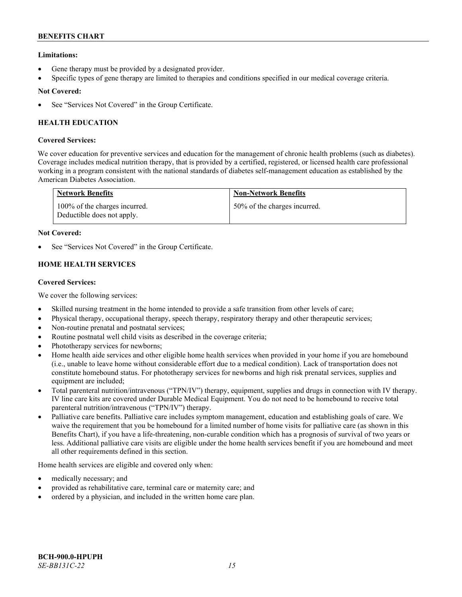# **Limitations:**

- Gene therapy must be provided by a designated provider.
- Specific types of gene therapy are limited to therapies and conditions specified in our medical coverage criteria.

# **Not Covered:**

See "Services Not Covered" in the Group Certificate.

# **HEALTH EDUCATION**

# **Covered Services:**

We cover education for preventive services and education for the management of chronic health problems (such as diabetes). Coverage includes medical nutrition therapy, that is provided by a certified, registered, or licensed health care professional working in a program consistent with the national standards of diabetes self-management education as established by the American Diabetes Association.

| <b>Network Benefits</b>                                     | <b>Non-Network Benefits</b>  |
|-------------------------------------------------------------|------------------------------|
| 100% of the charges incurred.<br>Deductible does not apply. | 50% of the charges incurred. |

# **Not Covered:**

See "Services Not Covered" in the Group Certificate.

# **HOME HEALTH SERVICES**

# **Covered Services:**

We cover the following services:

- Skilled nursing treatment in the home intended to provide a safe transition from other levels of care;
- Physical therapy, occupational therapy, speech therapy, respiratory therapy and other therapeutic services;
- Non-routine prenatal and postnatal services;
- Routine postnatal well child visits as described in the coverage criteria;
- Phototherapy services for newborns;
- Home health aide services and other eligible home health services when provided in your home if you are homebound (i.e., unable to leave home without considerable effort due to a medical condition). Lack of transportation does not constitute homebound status. For phototherapy services for newborns and high risk prenatal services, supplies and equipment are included;
- Total parenteral nutrition/intravenous ("TPN/IV") therapy, equipment, supplies and drugs in connection with IV therapy. IV line care kits are covered under Durable Medical Equipment. You do not need to be homebound to receive total parenteral nutrition/intravenous ("TPN/IV") therapy.
- Palliative care benefits. Palliative care includes symptom management, education and establishing goals of care. We waive the requirement that you be homebound for a limited number of home visits for palliative care (as shown in this Benefits Chart), if you have a life-threatening, non-curable condition which has a prognosis of survival of two years or less. Additional palliative care visits are eligible under the home health services benefit if you are homebound and meet all other requirements defined in this section.

Home health services are eligible and covered only when:

- medically necessary; and
- provided as rehabilitative care, terminal care or maternity care; and
- ordered by a physician, and included in the written home care plan.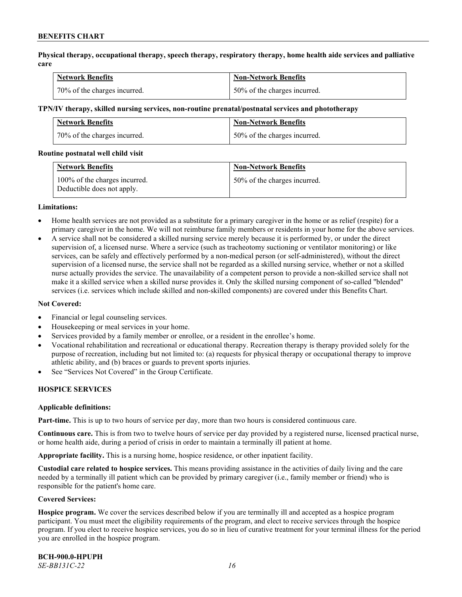**Physical therapy, occupational therapy, speech therapy, respiratory therapy, home health aide services and palliative care**

| <b>Network Benefits</b>      | <b>Non-Network Benefits</b>  |
|------------------------------|------------------------------|
| 70% of the charges incurred. | 50% of the charges incurred. |

#### **TPN/IV therapy, skilled nursing services, non-routine prenatal/postnatal services and phototherapy**

| <b>Network Benefits</b>      | <b>Non-Network Benefits</b>  |
|------------------------------|------------------------------|
| 70% of the charges incurred. | 50% of the charges incurred. |

#### **Routine postnatal well child visit**

| <b>Network Benefits</b>                                     | <b>Non-Network Benefits</b>  |
|-------------------------------------------------------------|------------------------------|
| 100% of the charges incurred.<br>Deductible does not apply. | 50% of the charges incurred. |

#### **Limitations:**

- Home health services are not provided as a substitute for a primary caregiver in the home or as relief (respite) for a primary caregiver in the home. We will not reimburse family members or residents in your home for the above services.
- A service shall not be considered a skilled nursing service merely because it is performed by, or under the direct supervision of, a licensed nurse. Where a service (such as tracheotomy suctioning or ventilator monitoring) or like services, can be safely and effectively performed by a non-medical person (or self-administered), without the direct supervision of a licensed nurse, the service shall not be regarded as a skilled nursing service, whether or not a skilled nurse actually provides the service. The unavailability of a competent person to provide a non-skilled service shall not make it a skilled service when a skilled nurse provides it. Only the skilled nursing component of so-called "blended" services (i.e. services which include skilled and non-skilled components) are covered under this Benefits Chart.

#### **Not Covered:**

- Financial or legal counseling services.
- Housekeeping or meal services in your home.
- Services provided by a family member or enrollee, or a resident in the enrollee's home.
- Vocational rehabilitation and recreational or educational therapy. Recreation therapy is therapy provided solely for the purpose of recreation, including but not limited to: (a) requests for physical therapy or occupational therapy to improve athletic ability, and (b) braces or guards to prevent sports injuries.
- See "Services Not Covered" in the Group Certificate.

# **HOSPICE SERVICES**

#### **Applicable definitions:**

**Part-time.** This is up to two hours of service per day, more than two hours is considered continuous care.

**Continuous care.** This is from two to twelve hours of service per day provided by a registered nurse, licensed practical nurse, or home health aide, during a period of crisis in order to maintain a terminally ill patient at home.

**Appropriate facility.** This is a nursing home, hospice residence, or other inpatient facility.

**Custodial care related to hospice services.** This means providing assistance in the activities of daily living and the care needed by a terminally ill patient which can be provided by primary caregiver (i.e., family member or friend) who is responsible for the patient's home care.

#### **Covered Services:**

**Hospice program.** We cover the services described below if you are terminally ill and accepted as a hospice program participant. You must meet the eligibility requirements of the program, and elect to receive services through the hospice program. If you elect to receive hospice services, you do so in lieu of curative treatment for your terminal illness for the period you are enrolled in the hospice program.

**BCH-900.0-HPUPH** *SE-BB131C-22 16*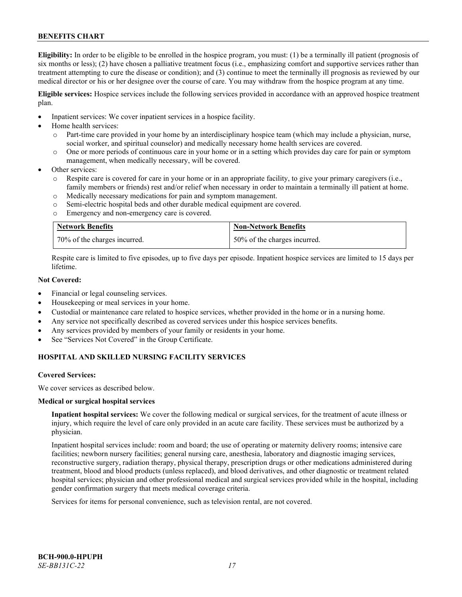**Eligibility:** In order to be eligible to be enrolled in the hospice program, you must: (1) be a terminally ill patient (prognosis of six months or less); (2) have chosen a palliative treatment focus (i.e., emphasizing comfort and supportive services rather than treatment attempting to cure the disease or condition); and (3) continue to meet the terminally ill prognosis as reviewed by our medical director or his or her designee over the course of care. You may withdraw from the hospice program at any time.

**Eligible services:** Hospice services include the following services provided in accordance with an approved hospice treatment plan.

- Inpatient services: We cover inpatient services in a hospice facility.
- Home health services:
	- o Part-time care provided in your home by an interdisciplinary hospice team (which may include a physician, nurse, social worker, and spiritual counselor) and medically necessary home health services are covered.
	- o One or more periods of continuous care in your home or in a setting which provides day care for pain or symptom management, when medically necessary, will be covered.
- Other services:
	- Respite care is covered for care in your home or in an appropriate facility, to give your primary caregivers (i.e., family members or friends) rest and/or relief when necessary in order to maintain a terminally ill patient at home.
	- o Medically necessary medications for pain and symptom management.
	- o Semi-electric hospital beds and other durable medical equipment are covered.
	- o Emergency and non-emergency care is covered.

| <b>Network Benefits</b>      | Non-Network Benefits         |
|------------------------------|------------------------------|
| 70% of the charges incurred. | 50% of the charges incurred. |

Respite care is limited to five episodes, up to five days per episode. Inpatient hospice services are limited to 15 days per lifetime.

# **Not Covered:**

- Financial or legal counseling services.
- Housekeeping or meal services in your home.
- Custodial or maintenance care related to hospice services, whether provided in the home or in a nursing home.
- Any service not specifically described as covered services under this hospice services benefits.
- Any services provided by members of your family or residents in your home.
- See "Services Not Covered" in the Group Certificate.

# **HOSPITAL AND SKILLED NURSING FACILITY SERVICES**

#### **Covered Services:**

We cover services as described below.

#### **Medical or surgical hospital services**

**Inpatient hospital services:** We cover the following medical or surgical services, for the treatment of acute illness or injury, which require the level of care only provided in an acute care facility. These services must be authorized by a physician.

Inpatient hospital services include: room and board; the use of operating or maternity delivery rooms; intensive care facilities; newborn nursery facilities; general nursing care, anesthesia, laboratory and diagnostic imaging services, reconstructive surgery, radiation therapy, physical therapy, prescription drugs or other medications administered during treatment, blood and blood products (unless replaced), and blood derivatives, and other diagnostic or treatment related hospital services; physician and other professional medical and surgical services provided while in the hospital, including gender confirmation surgery that meets medical coverage criteria.

Services for items for personal convenience, such as television rental, are not covered.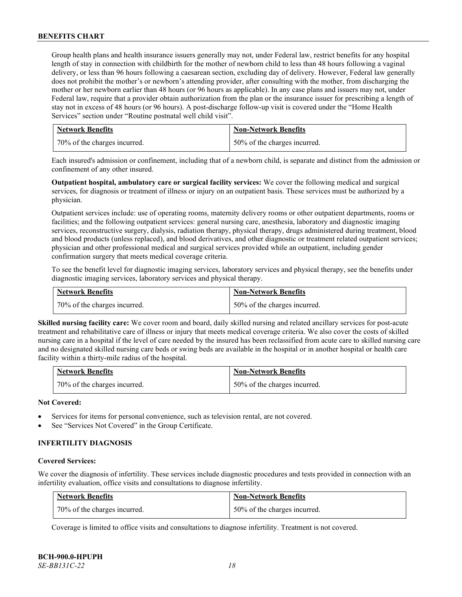Group health plans and health insurance issuers generally may not, under Federal law, restrict benefits for any hospital length of stay in connection with childbirth for the mother of newborn child to less than 48 hours following a vaginal delivery, or less than 96 hours following a caesarean section, excluding day of delivery. However, Federal law generally does not prohibit the mother's or newborn's attending provider, after consulting with the mother, from discharging the mother or her newborn earlier than 48 hours (or 96 hours as applicable). In any case plans and issuers may not, under Federal law, require that a provider obtain authorization from the plan or the insurance issuer for prescribing a length of stay not in excess of 48 hours (or 96 hours). A post-discharge follow-up visit is covered under the "Home Health Services" section under "Routine postnatal well child visit".

| <b>Network Benefits</b>      | <b>Non-Network Benefits</b>  |
|------------------------------|------------------------------|
| 70% of the charges incurred. | 50% of the charges incurred. |

Each insured's admission or confinement, including that of a newborn child, is separate and distinct from the admission or confinement of any other insured.

**Outpatient hospital, ambulatory care or surgical facility services:** We cover the following medical and surgical services, for diagnosis or treatment of illness or injury on an outpatient basis. These services must be authorized by a physician.

Outpatient services include: use of operating rooms, maternity delivery rooms or other outpatient departments, rooms or facilities; and the following outpatient services: general nursing care, anesthesia, laboratory and diagnostic imaging services, reconstructive surgery, dialysis, radiation therapy, physical therapy, drugs administered during treatment, blood and blood products (unless replaced), and blood derivatives, and other diagnostic or treatment related outpatient services; physician and other professional medical and surgical services provided while an outpatient, including gender confirmation surgery that meets medical coverage criteria.

To see the benefit level for diagnostic imaging services, laboratory services and physical therapy, see the benefits under diagnostic imaging services, laboratory services and physical therapy.

| <b>Network Benefits</b>      | <b>Non-Network Benefits</b>  |
|------------------------------|------------------------------|
| 70% of the charges incurred. | 50% of the charges incurred. |

**Skilled nursing facility care:** We cover room and board, daily skilled nursing and related ancillary services for post-acute treatment and rehabilitative care of illness or injury that meets medical coverage criteria. We also cover the costs of skilled nursing care in a hospital if the level of care needed by the insured has been reclassified from acute care to skilled nursing care and no designated skilled nursing care beds or swing beds are available in the hospital or in another hospital or health care facility within a thirty-mile radius of the hospital.

| Network Benefits             | <b>Non-Network Benefits</b>  |
|------------------------------|------------------------------|
| 70% of the charges incurred. | 50% of the charges incurred. |

# **Not Covered:**

- Services for items for personal convenience, such as television rental, are not covered.
- See "Services Not Covered" in the Group Certificate.

# **INFERTILITY DIAGNOSIS**

#### **Covered Services:**

We cover the diagnosis of infertility. These services include diagnostic procedures and tests provided in connection with an infertility evaluation, office visits and consultations to diagnose infertility.

| <b>Network Benefits</b>      | <b>Non-Network Benefits</b>  |
|------------------------------|------------------------------|
| 70% of the charges incurred. | 50% of the charges incurred. |

Coverage is limited to office visits and consultations to diagnose infertility. Treatment is not covered.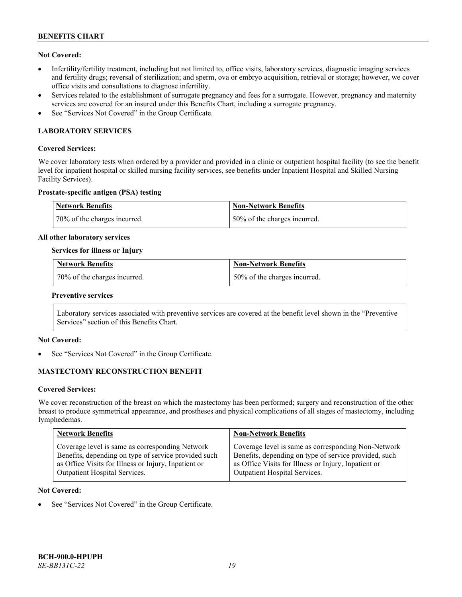# **Not Covered:**

- Infertility/fertility treatment, including but not limited to, office visits, laboratory services, diagnostic imaging services and fertility drugs; reversal of sterilization; and sperm, ova or embryo acquisition, retrieval or storage; however, we cover office visits and consultations to diagnose infertility.
- Services related to the establishment of surrogate pregnancy and fees for a surrogate. However, pregnancy and maternity services are covered for an insured under this Benefits Chart, including a surrogate pregnancy.
- See "Services Not Covered" in the Group Certificate.

# **LABORATORY SERVICES**

### **Covered Services:**

We cover laboratory tests when ordered by a provider and provided in a clinic or outpatient hospital facility (to see the benefit level for inpatient hospital or skilled nursing facility services, see benefits under Inpatient Hospital and Skilled Nursing Facility Services).

#### **Prostate-specific antigen (PSA) testing**

| Network Benefits             | Non-Network Benefits          |
|------------------------------|-------------------------------|
| 70% of the charges incurred. | 150% of the charges incurred. |

#### **All other laboratory services**

#### **Services for illness or Injury**

| Network Benefits             | <b>Non-Network Benefits</b>  |
|------------------------------|------------------------------|
| 70% of the charges incurred. | 50% of the charges incurred. |

#### **Preventive services**

Laboratory services associated with preventive services are covered at the benefit level shown in the "Preventive Services" section of this Benefits Chart.

# **Not Covered:**

See "Services Not Covered" in the Group Certificate.

# **MASTECTOMY RECONSTRUCTION BENEFIT**

#### **Covered Services:**

We cover reconstruction of the breast on which the mastectomy has been performed; surgery and reconstruction of the other breast to produce symmetrical appearance, and prostheses and physical complications of all stages of mastectomy, including lymphedemas.

| <b>Network Benefits</b>                              | <b>Non-Network Benefits</b>                           |
|------------------------------------------------------|-------------------------------------------------------|
| Coverage level is same as corresponding Network      | Coverage level is same as corresponding Non-Network   |
| Benefits, depending on type of service provided such | Benefits, depending on type of service provided, such |
| as Office Visits for Illness or Injury, Inpatient or | as Office Visits for Illness or Injury, Inpatient or  |
| Outpatient Hospital Services.                        | Outpatient Hospital Services.                         |

#### **Not Covered:**

See "Services Not Covered" in the Group Certificate.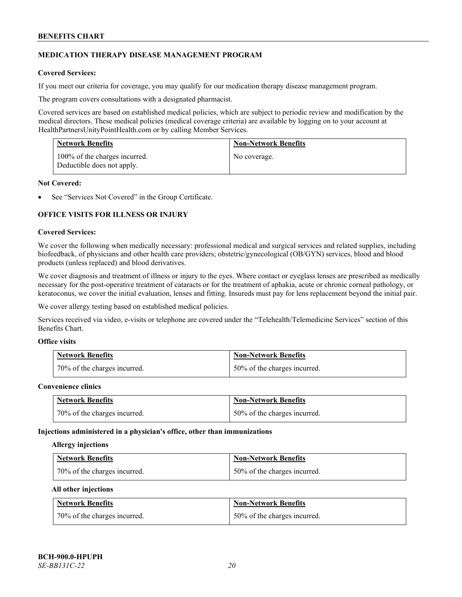# **MEDICATION THERAPY DISEASE MANAGEMENT PROGRAM**

# **Covered Services:**

If you meet our criteria for coverage, you may qualify for our medication therapy disease management program.

The program covers consultations with a designated pharmacist.

Covered services are based on established medical policies, which are subject to periodic review and modification by the medical directors. These medical policies (medical coverage criteria) are available by logging on to your account at [HealthPartnersUnityPointHealth.com](https://www.healthpartnersunitypointhealth.com/) or by calling Member Services.

| <b>Network Benefits</b>                                     | <b>Non-Network Benefits</b> |
|-------------------------------------------------------------|-----------------------------|
| 100% of the charges incurred.<br>Deductible does not apply. | No coverage.                |

#### **Not Covered:**

See "Services Not Covered" in the Group Certificate.

# **OFFICE VISITS FOR ILLNESS OR INJURY**

#### **Covered Services:**

We cover the following when medically necessary: professional medical and surgical services and related supplies, including biofeedback, of physicians and other health care providers; obstetric/gynecological (OB/GYN) services, blood and blood products (unless replaced) and blood derivatives.

We cover diagnosis and treatment of illness or injury to the eyes. Where contact or eyeglass lenses are prescribed as medically necessary for the post-operative treatment of cataracts or for the treatment of aphakia, acute or chronic corneal pathology, or keratoconus, we cover the initial evaluation, lenses and fitting. Insureds must pay for lens replacement beyond the initial pair.

We cover allergy testing based on established medical policies.

Services received via video, e-visits or telephone are covered under the "Telehealth/Telemedicine Services" section of this Benefits Chart.

# **Office visits**

| <b>Network Benefits</b>      | <b>Non-Network Benefits</b>  |
|------------------------------|------------------------------|
| 70% of the charges incurred. | 50% of the charges incurred. |

#### **Convenience clinics**

| <b>Network Benefits</b>      | <b>Non-Network Benefits</b>  |
|------------------------------|------------------------------|
| 70% of the charges incurred. | 50% of the charges incurred. |

#### **Injections administered in a physician's office, other than immunizations**

#### **Allergy injections**

| <b>Network Benefits</b>      | <b>Non-Network Benefits</b>  |
|------------------------------|------------------------------|
| 70% of the charges incurred. | 50% of the charges incurred. |

#### **All other injections**

| <b>Network Benefits</b>      | <b>Non-Network Benefits</b>  |
|------------------------------|------------------------------|
| 70% of the charges incurred. | 50% of the charges incurred. |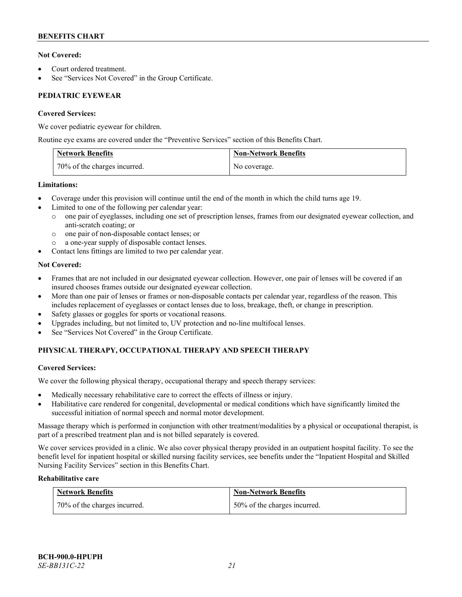# **Not Covered:**

- Court ordered treatment.
- See "Services Not Covered" in the Group Certificate.

# **PEDIATRIC EYEWEAR**

# **Covered Services:**

We cover pediatric eyewear for children.

Routine eye exams are covered under the "Preventive Services" section of this Benefits Chart.

| <b>Network Benefits</b>      | <b>Non-Network Benefits</b> |
|------------------------------|-----------------------------|
| 70% of the charges incurred. | No coverage.                |

# **Limitations:**

- Coverage under this provision will continue until the end of the month in which the child turns age 19.
- Limited to one of the following per calendar year:
	- o one pair of eyeglasses, including one set of prescription lenses, frames from our designated eyewear collection, and anti-scratch coating; or
	- o one pair of non-disposable contact lenses; or
	- a one-year supply of disposable contact lenses.
- Contact lens fittings are limited to two per calendar year.

# **Not Covered:**

- Frames that are not included in our designated eyewear collection. However, one pair of lenses will be covered if an insured chooses frames outside our designated eyewear collection.
- More than one pair of lenses or frames or non-disposable contacts per calendar year, regardless of the reason. This includes replacement of eyeglasses or contact lenses due to loss, breakage, theft, or change in prescription.
- Safety glasses or goggles for sports or vocational reasons.
- Upgrades including, but not limited to, UV protection and no-line multifocal lenses.
- See "Services Not Covered" in the Group Certificate.

# **PHYSICAL THERAPY, OCCUPATIONAL THERAPY AND SPEECH THERAPY**

# **Covered Services:**

We cover the following physical therapy, occupational therapy and speech therapy services:

- Medically necessary rehabilitative care to correct the effects of illness or injury.
- Habilitative care rendered for congenital, developmental or medical conditions which have significantly limited the successful initiation of normal speech and normal motor development.

Massage therapy which is performed in conjunction with other treatment/modalities by a physical or occupational therapist, is part of a prescribed treatment plan and is not billed separately is covered.

We cover services provided in a clinic. We also cover physical therapy provided in an outpatient hospital facility. To see the benefit level for inpatient hospital or skilled nursing facility services, see benefits under the "Inpatient Hospital and Skilled Nursing Facility Services" section in this Benefits Chart.

# **Rehabilitative care**

| <b>Network Benefits</b>      | <b>Non-Network Benefits</b>  |
|------------------------------|------------------------------|
| 70% of the charges incurred. | 50% of the charges incurred. |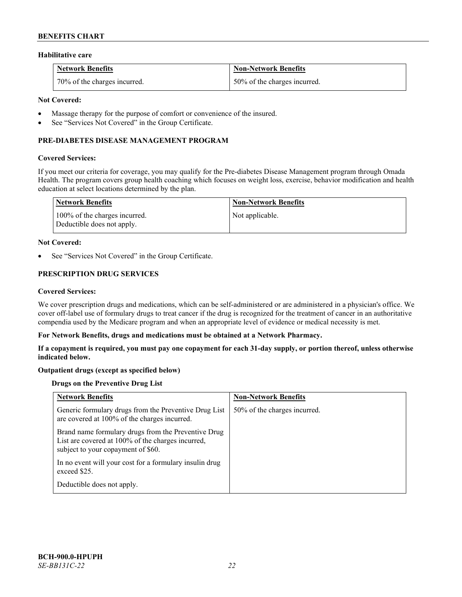### **Habilitative care**

| <b>Network Benefits</b>      | <b>Non-Network Benefits</b>  |
|------------------------------|------------------------------|
| 70% of the charges incurred. | 50% of the charges incurred. |

### **Not Covered:**

- Massage therapy for the purpose of comfort or convenience of the insured.
- See "Services Not Covered" in the Group Certificate.

# **PRE-DIABETES DISEASE MANAGEMENT PROGRAM**

#### **Covered Services:**

If you meet our criteria for coverage, you may qualify for the Pre-diabetes Disease Management program through Omada Health. The program covers group health coaching which focuses on weight loss, exercise, behavior modification and health education at select locations determined by the plan.

| Network Benefits                                            | <b>Non-Network Benefits</b> |
|-------------------------------------------------------------|-----------------------------|
| 100% of the charges incurred.<br>Deductible does not apply. | Not applicable.             |

#### **Not Covered:**

See "Services Not Covered" in the Group Certificate.

# **PRESCRIPTION DRUG SERVICES**

#### **Covered Services:**

We cover prescription drugs and medications, which can be self-administered or are administered in a physician's office. We cover off-label use of formulary drugs to treat cancer if the drug is recognized for the treatment of cancer in an authoritative compendia used by the Medicare program and when an appropriate level of evidence or medical necessity is met.

#### **For Network Benefits, drugs and medications must be obtained at a Network Pharmacy.**

**If a copayment is required, you must pay one copayment for each 31-day supply, or portion thereof, unless otherwise indicated below.**

# **Outpatient drugs (except as specified below)**

# **Drugs on the Preventive Drug List**

| <b>Network Benefits</b>                                                                                                                        | <b>Non-Network Benefits</b>  |
|------------------------------------------------------------------------------------------------------------------------------------------------|------------------------------|
| Generic formulary drugs from the Preventive Drug List<br>are covered at 100% of the charges incurred.                                          | 50% of the charges incurred. |
| Brand name formulary drugs from the Preventive Drug<br>List are covered at 100% of the charges incurred,<br>subject to your copayment of \$60. |                              |
| In no event will your cost for a formulary insulin drug<br>exceed \$25.                                                                        |                              |
| Deductible does not apply.                                                                                                                     |                              |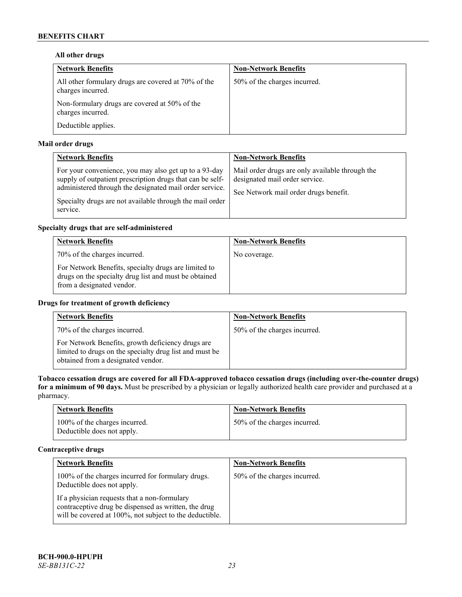# **All other drugs**

| <b>Network Benefits</b>                                                  | <b>Non-Network Benefits</b>  |
|--------------------------------------------------------------------------|------------------------------|
| All other formulary drugs are covered at 70% of the<br>charges incurred. | 50% of the charges incurred. |
| Non-formulary drugs are covered at 50% of the<br>charges incurred.       |                              |
| Deductible applies.                                                      |                              |

# **Mail order drugs**

| <b>Network Benefits</b>                                                                                                                                                                                                                               | <b>Non-Network Benefits</b>                                                                                                |
|-------------------------------------------------------------------------------------------------------------------------------------------------------------------------------------------------------------------------------------------------------|----------------------------------------------------------------------------------------------------------------------------|
| For your convenience, you may also get up to a 93-day<br>supply of outpatient prescription drugs that can be self-<br>administered through the designated mail order service.<br>Specialty drugs are not available through the mail order<br>service. | Mail order drugs are only available through the<br>designated mail order service.<br>See Network mail order drugs benefit. |

# **Specialty drugs that are self-administered**

| <b>Network Benefits</b>                                                                                                                    | <b>Non-Network Benefits</b> |
|--------------------------------------------------------------------------------------------------------------------------------------------|-----------------------------|
| 70% of the charges incurred.                                                                                                               | No coverage.                |
| For Network Benefits, specialty drugs are limited to<br>drugs on the specialty drug list and must be obtained<br>from a designated vendor. |                             |

# **Drugs for treatment of growth deficiency**

| <b>Network Benefits</b>                                                                                                                            | <b>Non-Network Benefits</b>  |
|----------------------------------------------------------------------------------------------------------------------------------------------------|------------------------------|
| 70% of the charges incurred.                                                                                                                       | 50% of the charges incurred. |
| For Network Benefits, growth deficiency drugs are<br>limited to drugs on the specialty drug list and must be<br>obtained from a designated vendor. |                              |

**Tobacco cessation drugs are covered for all FDA-approved tobacco cessation drugs (including over-the-counter drugs) for a minimum of 90 days.** Must be prescribed by a physician or legally authorized health care provider and purchased at a pharmacy.

| <b>Network Benefits</b>                                     | <b>Non-Network Benefits</b>  |
|-------------------------------------------------------------|------------------------------|
| 100% of the charges incurred.<br>Deductible does not apply. | 50% of the charges incurred. |

# **Contraceptive drugs**

| <b>Network Benefits</b>                                                                                                                                         | <b>Non-Network Benefits</b>  |
|-----------------------------------------------------------------------------------------------------------------------------------------------------------------|------------------------------|
| 100% of the charges incurred for formulary drugs.<br>Deductible does not apply.                                                                                 | 50% of the charges incurred. |
| If a physician requests that a non-formulary<br>contraceptive drug be dispensed as written, the drug<br>will be covered at 100%, not subject to the deductible. |                              |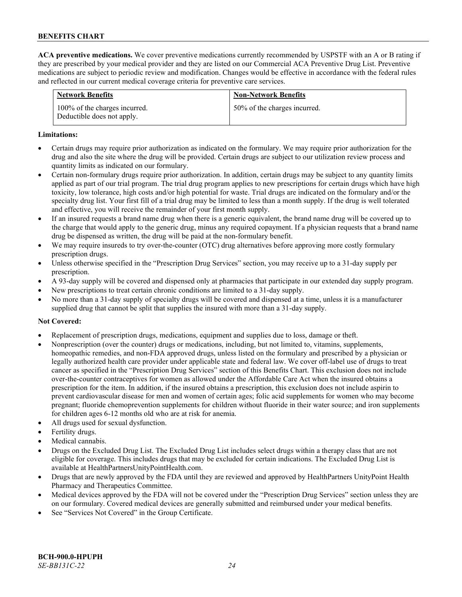**ACA preventive medications.** We cover preventive medications currently recommended by USPSTF with an A or B rating if they are prescribed by your medical provider and they are listed on our Commercial ACA Preventive Drug List. Preventive medications are subject to periodic review and modification. Changes would be effective in accordance with the federal rules and reflected in our current medical coverage criteria for preventive care services.

| <b>Network Benefits</b>                                     | <b>Non-Network Benefits</b>  |
|-------------------------------------------------------------|------------------------------|
| 100% of the charges incurred.<br>Deductible does not apply. | 50% of the charges incurred. |

#### **Limitations:**

- Certain drugs may require prior authorization as indicated on the formulary. We may require prior authorization for the drug and also the site where the drug will be provided. Certain drugs are subject to our utilization review process and quantity limits as indicated on our formulary.
- Certain non-formulary drugs require prior authorization. In addition, certain drugs may be subject to any quantity limits applied as part of our trial program. The trial drug program applies to new prescriptions for certain drugs which have high toxicity, low tolerance, high costs and/or high potential for waste. Trial drugs are indicated on the formulary and/or the specialty drug list. Your first fill of a trial drug may be limited to less than a month supply. If the drug is well tolerated and effective, you will receive the remainder of your first month supply.
- If an insured requests a brand name drug when there is a generic equivalent, the brand name drug will be covered up to the charge that would apply to the generic drug, minus any required copayment. If a physician requests that a brand name drug be dispensed as written, the drug will be paid at the non-formulary benefit.
- We may require insureds to try over-the-counter (OTC) drug alternatives before approving more costly formulary prescription drugs.
- Unless otherwise specified in the "Prescription Drug Services" section, you may receive up to a 31-day supply per prescription.
- A 93-day supply will be covered and dispensed only at pharmacies that participate in our extended day supply program.
- New prescriptions to treat certain chronic conditions are limited to a 31-day supply.
- No more than a 31-day supply of specialty drugs will be covered and dispensed at a time, unless it is a manufacturer supplied drug that cannot be split that supplies the insured with more than a 31-day supply.

# **Not Covered:**

- Replacement of prescription drugs, medications, equipment and supplies due to loss, damage or theft.
- Nonprescription (over the counter) drugs or medications, including, but not limited to, vitamins, supplements, homeopathic remedies, and non-FDA approved drugs, unless listed on the formulary and prescribed by a physician or legally authorized health care provider under applicable state and federal law. We cover off-label use of drugs to treat cancer as specified in the "Prescription Drug Services" section of this Benefits Chart. This exclusion does not include over-the-counter contraceptives for women as allowed under the Affordable Care Act when the insured obtains a prescription for the item. In addition, if the insured obtains a prescription, this exclusion does not include aspirin to prevent cardiovascular disease for men and women of certain ages; folic acid supplements for women who may become pregnant; fluoride chemoprevention supplements for children without fluoride in their water source; and iron supplements for children ages 6-12 months old who are at risk for anemia.
- All drugs used for sexual dysfunction.
- Fertility drugs.
- Medical cannabis.
- Drugs on the Excluded Drug List. The Excluded Drug List includes select drugs within a therapy class that are not eligible for coverage. This includes drugs that may be excluded for certain indications. The Excluded Drug List is available a[t HealthPartnersUnityPointHealth.com.](https://www.healthpartnersunitypointhealth.com/)
- Drugs that are newly approved by the FDA until they are reviewed and approved by HealthPartners UnityPoint Health Pharmacy and Therapeutics Committee.
- Medical devices approved by the FDA will not be covered under the "Prescription Drug Services" section unless they are on our formulary. Covered medical devices are generally submitted and reimbursed under your medical benefits.
- See "Services Not Covered" in the Group Certificate.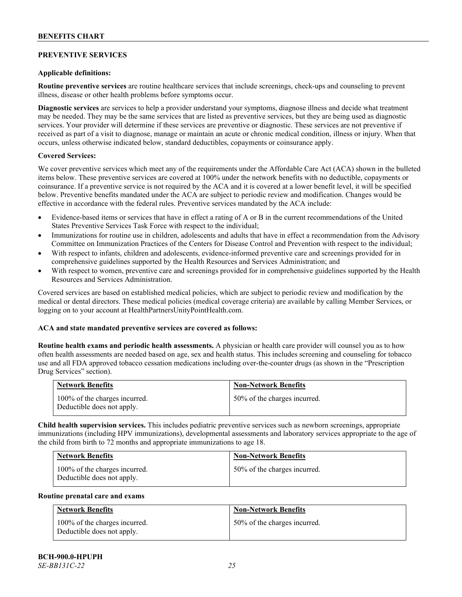# **PREVENTIVE SERVICES**

### **Applicable definitions:**

**Routine preventive services** are routine healthcare services that include screenings, check-ups and counseling to prevent illness, disease or other health problems before symptoms occur.

**Diagnostic services** are services to help a provider understand your symptoms, diagnose illness and decide what treatment may be needed. They may be the same services that are listed as preventive services, but they are being used as diagnostic services. Your provider will determine if these services are preventive or diagnostic. These services are not preventive if received as part of a visit to diagnose, manage or maintain an acute or chronic medical condition, illness or injury. When that occurs, unless otherwise indicated below, standard deductibles, copayments or coinsurance apply.

#### **Covered Services:**

We cover preventive services which meet any of the requirements under the Affordable Care Act (ACA) shown in the bulleted items below. These preventive services are covered at 100% under the network benefits with no deductible, copayments or coinsurance. If a preventive service is not required by the ACA and it is covered at a lower benefit level, it will be specified below. Preventive benefits mandated under the ACA are subject to periodic review and modification. Changes would be effective in accordance with the federal rules. Preventive services mandated by the ACA include:

- Evidence-based items or services that have in effect a rating of A or B in the current recommendations of the United States Preventive Services Task Force with respect to the individual;
- Immunizations for routine use in children, adolescents and adults that have in effect a recommendation from the Advisory Committee on Immunization Practices of the Centers for Disease Control and Prevention with respect to the individual;
- With respect to infants, children and adolescents, evidence-informed preventive care and screenings provided for in comprehensive guidelines supported by the Health Resources and Services Administration; and
- With respect to women, preventive care and screenings provided for in comprehensive guidelines supported by the Health Resources and Services Administration.

Covered services are based on established medical policies, which are subject to periodic review and modification by the medical or dental directors. These medical policies (medical coverage criteria) are available by calling Member Services, or logging on to your account at [HealthPartnersUnityPointHealth.com.](https://www.healthpartnersunitypointhealth.com/)

# **ACA and state mandated preventive services are covered as follows:**

**Routine health exams and periodic health assessments.** A physician or health care provider will counsel you as to how often health assessments are needed based on age, sex and health status. This includes screening and counseling for tobacco use and all FDA approved tobacco cessation medications including over-the-counter drugs (as shown in the "Prescription Drug Services" section).

| <b>Network Benefits</b>                                     | <b>Non-Network Benefits</b>  |
|-------------------------------------------------------------|------------------------------|
| 100% of the charges incurred.<br>Deductible does not apply. | 50% of the charges incurred. |

**Child health supervision services.** This includes pediatric preventive services such as newborn screenings, appropriate immunizations (including HPV immunizations), developmental assessments and laboratory services appropriate to the age of the child from birth to 72 months and appropriate immunizations to age 18.

| <b>Network Benefits</b>                                     | <b>Non-Network Benefits</b>  |
|-------------------------------------------------------------|------------------------------|
| 100% of the charges incurred.<br>Deductible does not apply. | 50% of the charges incurred. |

#### **Routine prenatal care and exams**

| <b>Network Benefits</b>                                     | <b>Non-Network Benefits</b>  |
|-------------------------------------------------------------|------------------------------|
| 100% of the charges incurred.<br>Deductible does not apply. | 50% of the charges incurred. |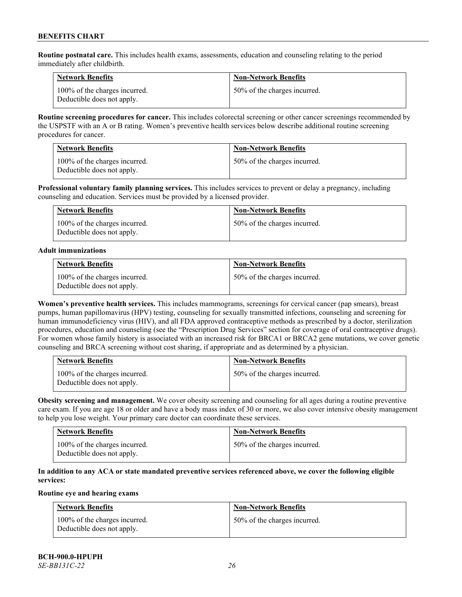**Routine postnatal care.** This includes health exams, assessments, education and counseling relating to the period immediately after childbirth.

| <b>Network Benefits</b>                                     | <b>Non-Network Benefits</b>  |
|-------------------------------------------------------------|------------------------------|
| 100% of the charges incurred.<br>Deductible does not apply. | 50% of the charges incurred. |

**Routine screening procedures for cancer.** This includes colorectal screening or other cancer screenings recommended by the USPSTF with an A or B rating. Women's preventive health services below describe additional routine screening procedures for cancer.

| <b>Network Benefits</b>                                     | <b>Non-Network Benefits</b>  |
|-------------------------------------------------------------|------------------------------|
| 100% of the charges incurred.<br>Deductible does not apply. | 50% of the charges incurred. |

**Professional voluntary family planning services.** This includes services to prevent or delay a pregnancy, including counseling and education. Services must be provided by a licensed provider.

| <b>Network Benefits</b>                                     | <b>Non-Network Benefits</b>  |
|-------------------------------------------------------------|------------------------------|
| 100% of the charges incurred.<br>Deductible does not apply. | 50% of the charges incurred. |

#### **Adult immunizations**

| <b>Network Benefits</b>                                     | <b>Non-Network Benefits</b>  |
|-------------------------------------------------------------|------------------------------|
| 100% of the charges incurred.<br>Deductible does not apply. | 50% of the charges incurred. |

**Women's preventive health services.** This includes mammograms, screenings for cervical cancer (pap smears), breast pumps, human papillomavirus (HPV) testing, counseling for sexually transmitted infections, counseling and screening for human immunodeficiency virus (HIV), and all FDA approved contraceptive methods as prescribed by a doctor, sterilization procedures, education and counseling (see the "Prescription Drug Services" section for coverage of oral contraceptive drugs). For women whose family history is associated with an increased risk for BRCA1 or BRCA2 gene mutations, we cover genetic counseling and BRCA screening without cost sharing, if appropriate and as determined by a physician.

| <b>Network Benefits</b>                                     | <b>Non-Network Benefits</b>  |
|-------------------------------------------------------------|------------------------------|
| 100% of the charges incurred.<br>Deductible does not apply. | 50% of the charges incurred. |

**Obesity screening and management.** We cover obesity screening and counseling for all ages during a routine preventive care exam. If you are age 18 or older and have a body mass index of 30 or more, we also cover intensive obesity management to help you lose weight. Your primary care doctor can coordinate these services.

| <b>Network Benefits</b>                                     | <b>Non-Network Benefits</b>  |
|-------------------------------------------------------------|------------------------------|
| 100% of the charges incurred.<br>Deductible does not apply. | 50% of the charges incurred. |

# **In addition to any ACA or state mandated preventive services referenced above, we cover the following eligible services:**

# **Routine eye and hearing exams**

| <b>Network Benefits</b>                                     | <b>Non-Network Benefits</b>  |
|-------------------------------------------------------------|------------------------------|
| 100% of the charges incurred.<br>Deductible does not apply. | 50% of the charges incurred. |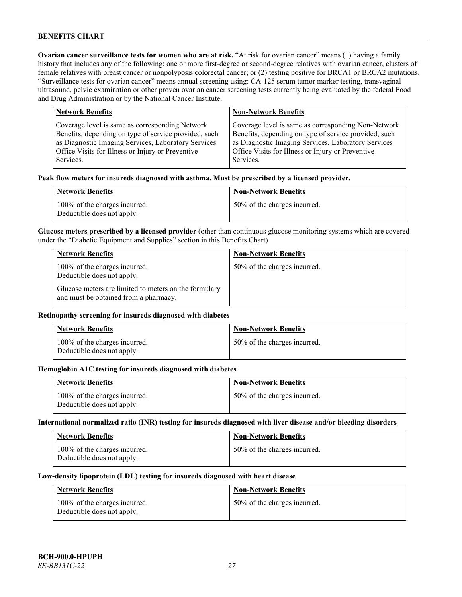**Ovarian cancer surveillance tests for women who are at risk. "At risk for ovarian cancer" means (1) having a family** history that includes any of the following: one or more first-degree or second-degree relatives with ovarian cancer, clusters of female relatives with breast cancer or nonpolyposis colorectal cancer; or (2) testing positive for BRCA1 or BRCA2 mutations. "Surveillance tests for ovarian cancer" means annual screening using: CA-125 serum tumor marker testing, transvaginal ultrasound, pelvic examination or other proven ovarian cancer screening tests currently being evaluated by the federal Food and Drug Administration or by the National Cancer Institute.

| <b>Network Benefits</b>                               | <b>Non-Network Benefits</b>                           |
|-------------------------------------------------------|-------------------------------------------------------|
| Coverage level is same as corresponding Network       | Coverage level is same as corresponding Non-Network   |
| Benefits, depending on type of service provided, such | Benefits, depending on type of service provided, such |
| as Diagnostic Imaging Services, Laboratory Services   | as Diagnostic Imaging Services, Laboratory Services   |
| Office Visits for Illness or Injury or Preventive     | Office Visits for Illness or Injury or Preventive     |
| Services.                                             | Services.                                             |

#### **Peak flow meters for insureds diagnosed with asthma. Must be prescribed by a licensed provider.**

| <b>Network Benefits</b>                                     | <b>Non-Network Benefits</b>  |
|-------------------------------------------------------------|------------------------------|
| 100% of the charges incurred.<br>Deductible does not apply. | 50% of the charges incurred. |

**Glucose meters prescribed by a licensed provider** (other than continuous glucose monitoring systems which are covered under the "Diabetic Equipment and Supplies" section in this Benefits Chart)

| <b>Network Benefits</b>                                                                        | <b>Non-Network Benefits</b>  |
|------------------------------------------------------------------------------------------------|------------------------------|
| 100% of the charges incurred.<br>Deductible does not apply.                                    | 50% of the charges incurred. |
| Glucose meters are limited to meters on the formulary<br>and must be obtained from a pharmacy. |                              |

### **Retinopathy screening for insureds diagnosed with diabetes**

| <b>Network Benefits</b>                                     | <b>Non-Network Benefits</b>  |
|-------------------------------------------------------------|------------------------------|
| 100% of the charges incurred.<br>Deductible does not apply. | 50% of the charges incurred. |

#### **Hemoglobin A1C testing for insureds diagnosed with diabetes**

| <b>Network Benefits</b>                                     | <b>Non-Network Benefits</b>  |
|-------------------------------------------------------------|------------------------------|
| 100% of the charges incurred.<br>Deductible does not apply. | 50% of the charges incurred. |

# **International normalized ratio (INR) testing for insureds diagnosed with liver disease and/or bleeding disorders**

| <b>Network Benefits</b>                                     | <b>Non-Network Benefits</b>  |
|-------------------------------------------------------------|------------------------------|
| 100% of the charges incurred.<br>Deductible does not apply. | 50% of the charges incurred. |

#### **Low-density lipoprotein (LDL) testing for insureds diagnosed with heart disease**

| <b>Network Benefits</b>                                     | <b>Non-Network Benefits</b>  |
|-------------------------------------------------------------|------------------------------|
| 100% of the charges incurred.<br>Deductible does not apply. | 50% of the charges incurred. |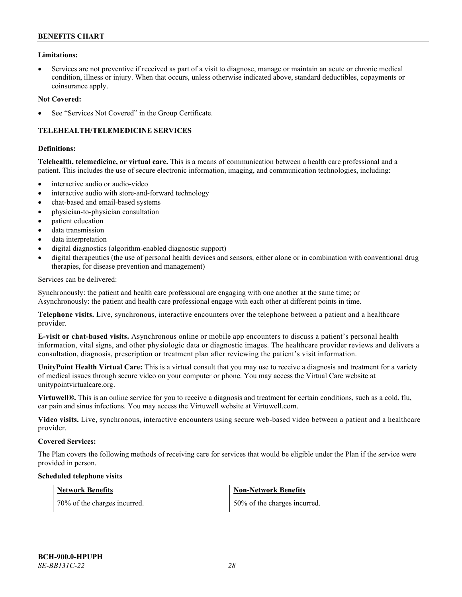### **Limitations:**

• Services are not preventive if received as part of a visit to diagnose, manage or maintain an acute or chronic medical condition, illness or injury. When that occurs, unless otherwise indicated above, standard deductibles, copayments or coinsurance apply.

#### **Not Covered:**

See "Services Not Covered" in the Group Certificate.

# **TELEHEALTH/TELEMEDICINE SERVICES**

#### **Definitions:**

**Telehealth, telemedicine, or virtual care.** This is a means of communication between a health care professional and a patient. This includes the use of secure electronic information, imaging, and communication technologies, including:

- interactive audio or audio-video
- interactive audio with store-and-forward technology
- chat-based and email-based systems
- physician-to-physician consultation
- patient education
- data transmission
- data interpretation
- digital diagnostics (algorithm-enabled diagnostic support)
- digital therapeutics (the use of personal health devices and sensors, either alone or in combination with conventional drug therapies, for disease prevention and management)

#### Services can be delivered:

Synchronously: the patient and health care professional are engaging with one another at the same time; or Asynchronously: the patient and health care professional engage with each other at different points in time.

**Telephone visits.** Live, synchronous, interactive encounters over the telephone between a patient and a healthcare provider.

**E-visit or chat-based visits.** Asynchronous online or mobile app encounters to discuss a patient's personal health information, vital signs, and other physiologic data or diagnostic images. The healthcare provider reviews and delivers a consultation, diagnosis, prescription or treatment plan after reviewing the patient's visit information.

**UnityPoint Health Virtual Care:** This is a virtual consult that you may use to receive a diagnosis and treatment for a variety of medical issues through secure video on your computer or phone. You may access the Virtual Care website at [unitypointvirtualcare.org.](https://unitypointvirtualcare.org/landing.htm)

**Virtuwell®.** This is an online service for you to receive a diagnosis and treatment for certain conditions, such as a cold, flu, ear pain and sinus infections. You may access the Virtuwell website at [Virtuwell.com.](https://www.virtuwell.com/)

**Video visits.** Live, synchronous, interactive encounters using secure web-based video between a patient and a healthcare provider.

#### **Covered Services:**

The Plan covers the following methods of receiving care for services that would be eligible under the Plan if the service were provided in person.

#### **Scheduled telephone visits**

| Network Benefits             | <b>Non-Network Benefits</b>  |
|------------------------------|------------------------------|
| 70% of the charges incurred. | 50% of the charges incurred. |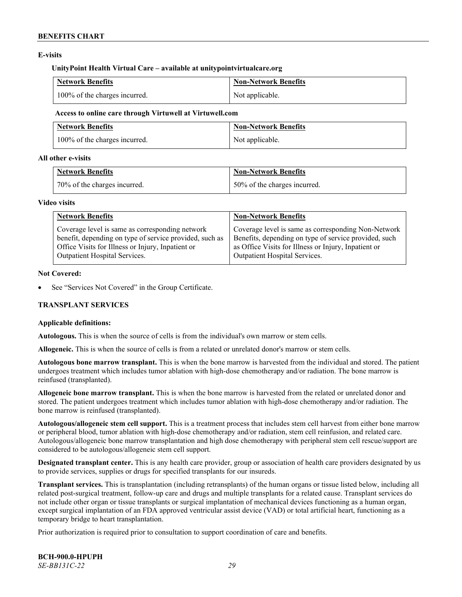# **E-visits**

#### **UnityPoint Health Virtual Care – available at [unitypointvirtualcare.org](http://www.unitypointvirtualcare.org/)**

| <b>Network Benefits</b>       | Non-Network Benefits |
|-------------------------------|----------------------|
| 100% of the charges incurred. | Not applicable.      |

#### **Access to online care through Virtuwell at [Virtuwell.com](http://www.virtuwell.com/)**

| <b>Network Benefits</b>       | Non-Network Benefits |
|-------------------------------|----------------------|
| 100% of the charges incurred. | Not applicable.      |

### **All other e-visits**

| <b>Network Benefits</b>      | <b>Non-Network Benefits</b>  |
|------------------------------|------------------------------|
| 70% of the charges incurred. | 50% of the charges incurred. |

#### **Video visits**

| <b>Network Benefits</b>                                 | <b>Non-Network Benefits</b>                           |
|---------------------------------------------------------|-------------------------------------------------------|
| Coverage level is same as corresponding network         | Coverage level is same as corresponding Non-Network   |
| benefit, depending on type of service provided, such as | Benefits, depending on type of service provided, such |
| Office Visits for Illness or Injury, Inpatient or       | as Office Visits for Illness or Injury, Inpatient or  |
| Outpatient Hospital Services.                           | Outpatient Hospital Services.                         |

#### **Not Covered:**

See "Services Not Covered" in the Group Certificate.

# **TRANSPLANT SERVICES**

# **Applicable definitions:**

**Autologous.** This is when the source of cells is from the individual's own marrow or stem cells.

**Allogeneic.** This is when the source of cells is from a related or unrelated donor's marrow or stem cells.

**Autologous bone marrow transplant.** This is when the bone marrow is harvested from the individual and stored. The patient undergoes treatment which includes tumor ablation with high-dose chemotherapy and/or radiation. The bone marrow is reinfused (transplanted).

**Allogeneic bone marrow transplant.** This is when the bone marrow is harvested from the related or unrelated donor and stored. The patient undergoes treatment which includes tumor ablation with high-dose chemotherapy and/or radiation. The bone marrow is reinfused (transplanted).

**Autologous/allogeneic stem cell support.** This is a treatment process that includes stem cell harvest from either bone marrow or peripheral blood, tumor ablation with high-dose chemotherapy and/or radiation, stem cell reinfusion, and related care. Autologous/allogeneic bone marrow transplantation and high dose chemotherapy with peripheral stem cell rescue/support are considered to be autologous/allogeneic stem cell support.

**Designated transplant center.** This is any health care provider, group or association of health care providers designated by us to provide services, supplies or drugs for specified transplants for our insureds.

**Transplant services.** This is transplantation (including retransplants) of the human organs or tissue listed below, including all related post-surgical treatment, follow-up care and drugs and multiple transplants for a related cause. Transplant services do not include other organ or tissue transplants or surgical implantation of mechanical devices functioning as a human organ, except surgical implantation of an FDA approved ventricular assist device (VAD) or total artificial heart, functioning as a temporary bridge to heart transplantation.

Prior authorization is required prior to consultation to support coordination of care and benefits.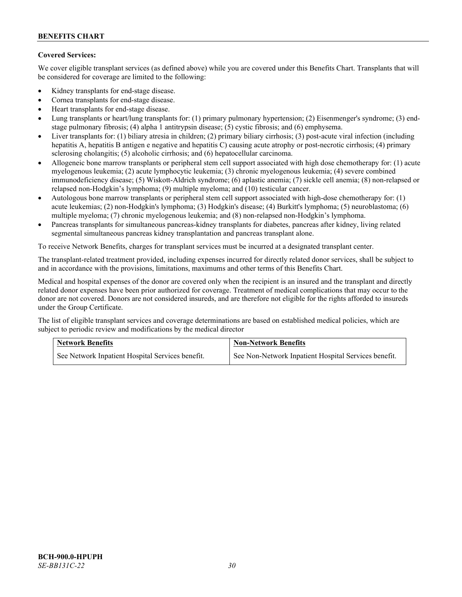# **Covered Services:**

We cover eligible transplant services (as defined above) while you are covered under this Benefits Chart. Transplants that will be considered for coverage are limited to the following:

- Kidney transplants for end-stage disease.
- Cornea transplants for end-stage disease.
- Heart transplants for end-stage disease.
- Lung transplants or heart/lung transplants for: (1) primary pulmonary hypertension; (2) Eisenmenger's syndrome; (3) endstage pulmonary fibrosis; (4) alpha 1 antitrypsin disease; (5) cystic fibrosis; and (6) emphysema.
- Liver transplants for: (1) biliary atresia in children; (2) primary biliary cirrhosis; (3) post-acute viral infection (including hepatitis A, hepatitis B antigen e negative and hepatitis C) causing acute atrophy or post-necrotic cirrhosis; (4) primary sclerosing cholangitis; (5) alcoholic cirrhosis; and (6) hepatocellular carcinoma.
- Allogeneic bone marrow transplants or peripheral stem cell support associated with high dose chemotherapy for: (1) acute myelogenous leukemia; (2) acute lymphocytic leukemia; (3) chronic myelogenous leukemia; (4) severe combined immunodeficiency disease; (5) Wiskott-Aldrich syndrome; (6) aplastic anemia; (7) sickle cell anemia; (8) non-relapsed or relapsed non-Hodgkin's lymphoma; (9) multiple myeloma; and (10) testicular cancer.
- Autologous bone marrow transplants or peripheral stem cell support associated with high-dose chemotherapy for: (1) acute leukemias; (2) non-Hodgkin's lymphoma; (3) Hodgkin's disease; (4) Burkitt's lymphoma; (5) neuroblastoma; (6) multiple myeloma; (7) chronic myelogenous leukemia; and (8) non-relapsed non-Hodgkin's lymphoma.
- Pancreas transplants for simultaneous pancreas-kidney transplants for diabetes, pancreas after kidney, living related segmental simultaneous pancreas kidney transplantation and pancreas transplant alone.

To receive Network Benefits, charges for transplant services must be incurred at a designated transplant center.

The transplant-related treatment provided, including expenses incurred for directly related donor services, shall be subject to and in accordance with the provisions, limitations, maximums and other terms of this Benefits Chart.

Medical and hospital expenses of the donor are covered only when the recipient is an insured and the transplant and directly related donor expenses have been prior authorized for coverage. Treatment of medical complications that may occur to the donor are not covered. Donors are not considered insureds, and are therefore not eligible for the rights afforded to insureds under the Group Certificate.

The list of eligible transplant services and coverage determinations are based on established medical policies, which are subject to periodic review and modifications by the medical director

| <b>Network Benefits</b>                          | <b>Non-Network Benefits</b>                          |  |
|--------------------------------------------------|------------------------------------------------------|--|
| See Network Inpatient Hospital Services benefit. | See Non-Network Inpatient Hospital Services benefit. |  |